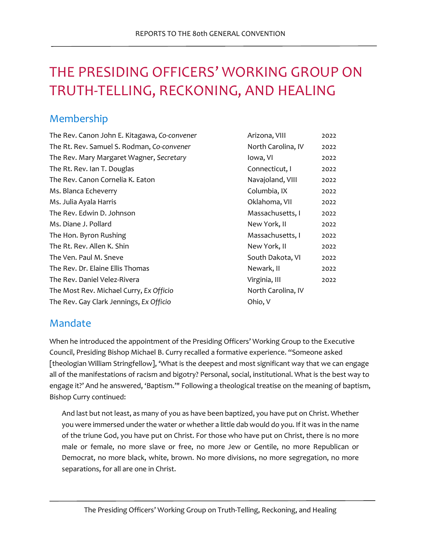# THE PRESIDING OFFICERS' WORKING GROUP ON TRUTH-TELLING, RECKONING, AND HEALING

# Membership

| The Rev. Canon John E. Kitagawa, Co-convener | Arizona, VIII      | 2022 |
|----------------------------------------------|--------------------|------|
| The Rt. Rev. Samuel S. Rodman, Co-convener   | North Carolina, IV | 2022 |
| The Rev. Mary Margaret Wagner, Secretary     | lowa, VI           | 2022 |
| The Rt. Rev. Ian T. Douglas                  | Connecticut, I     | 2022 |
| The Rev. Canon Cornelia K. Eaton             | Navajoland, VIII   | 2022 |
| Ms. Blanca Echeverry                         | Columbia, IX       | 2022 |
| Ms. Julia Ayala Harris                       | Oklahoma, VII      | 2022 |
| The Rev. Edwin D. Johnson                    | Massachusetts, I   | 2022 |
| Ms. Diane J. Pollard                         | New York, II       | 2022 |
| The Hon. Byron Rushing                       | Massachusetts, I   | 2022 |
| The Rt. Rev. Allen K. Shin                   | New York, II       | 2022 |
| The Ven. Paul M. Sneve                       | South Dakota, VI   | 2022 |
| The Rev. Dr. Elaine Ellis Thomas             | Newark, II         | 2022 |
| The Rev. Daniel Velez-Rivera                 | Virginia, III      | 2022 |
| The Most Rev. Michael Curry, Ex Officio      | North Carolina, IV |      |
| The Rev. Gay Clark Jennings, Ex Officio      | Ohio, V            |      |

# Mandate

When he introduced the appointment of the Presiding Officers' Working Group to the Executive Council, Presiding Bishop Michael B. Curry recalled a formative experience. "Someone asked [theologian William Stringfellow], 'What is the deepest and most significant way that we can engage all of the manifestations of racism and bigotry? Personal, social, institutional. What is the best way to engage it?' And he answered, 'Baptism.'" Following a theological treatise on the meaning of baptism, Bishop Curry continued:

And last but not least, as many of you as have been baptized, you have put on Christ. Whether you were immersed under the water or whether a little dab would do you. If it was in the name of the triune God, you have put on Christ. For those who have put on Christ, there is no more male or female, no more slave or free, no more Jew or Gentile, no more Republican or Democrat, no more black, white, brown. No more divisions, no more segregation, no more separations, for all are one in Christ.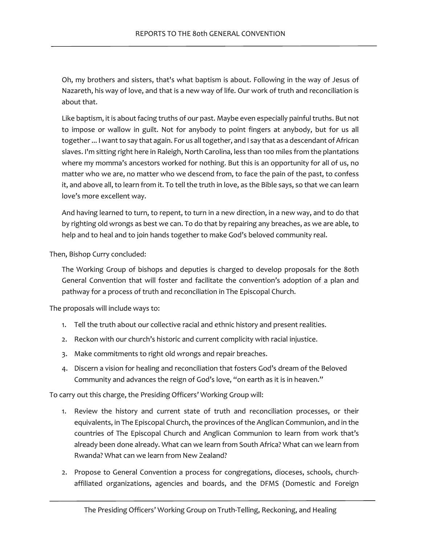Oh, my brothers and sisters, that's what baptism is about. Following in the way of Jesus of Nazareth, his way of love, and that is a new way of life. Our work of truth and reconciliation is about that.

Like baptism, it is about facing truths of our past. Maybe even especially painful truths. But not to impose or wallow in guilt. Not for anybody to point fingers at anybody, but for us all together... I want to say that again. For us all together, and I say that as a descendant of African slaves. I'm sitting right here in Raleigh, North Carolina, less than 100 miles from the plantations where my momma's ancestors worked for nothing. But this is an opportunity for all of us, no matter who we are, no matter who we descend from, to face the pain of the past, to confess it, and above all, to learn from it. To tell the truth in love, as the Bible says, so that we can learn love's more excellent way.

And having learned to turn, to repent, to turn in a new direction, in a new way, and to do that by righting old wrongs as best we can. To do that by repairing any breaches, as we are able, to help and to heal and to join hands together to make God's beloved community real.

Then, Bishop Curry concluded:

The Working Group of bishops and deputies is charged to develop proposals for the 80th General Convention that will foster and facilitate the convention's adoption of a plan and pathway for a process of truth and reconciliation in The Episcopal Church.

The proposals will include ways to:

- 1. Tell the truth about our collective racial and ethnic history and present realities.
- 2. Reckon with our church's historic and current complicity with racial injustice.
- 3. Make commitments to right old wrongs and repair breaches.
- 4. Discern a vision for healing and reconciliation that fosters God's dream of the Beloved Community and advances the reign of God's love, "on earth as it is in heaven."

To carry out this charge, the Presiding Officers' Working Group will:

- 1. Review the history and current state of truth and reconciliation processes, or their equivalents, in The Episcopal Church, the provinces of the Anglican Communion, and in the countries of The Episcopal Church and Anglican Communion to learn from work that's already been done already. What can we learn from South Africa? What can we learn from Rwanda? What can we learn from New Zealand?
- 2. Propose to General Convention a process for congregations, dioceses, schools, churchaffiliated organizations, agencies and boards, and the DFMS (Domestic and Foreign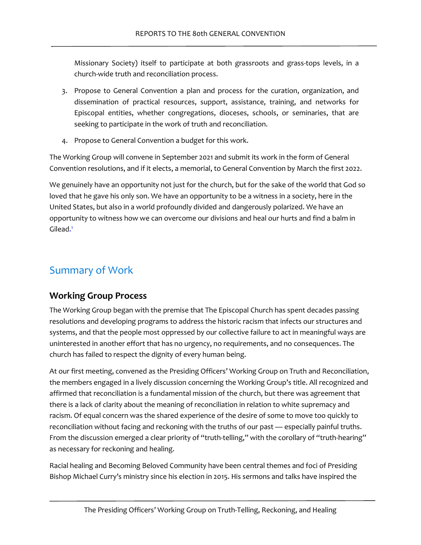Missionary Society) itself to participate at both grassroots and grass-tops levels, in a church-wide truth and reconciliation process.

- 3. Propose to General Convention a plan and process for the curation, organization, and dissemination of practical resources, support, assistance, training, and networks for Episcopal entities, whether congregations, dioceses, schools, or seminaries, that are seeking to participate in the work of truth and reconciliation.
- 4. Propose to General Convention a budget for this work.

The Working Group will convene in September 2021 and submit its work in the form of General Convention resolutions, and if it elects, a memorial, to General Convention by March the first 2022.

We genuinely have an opportunity not just for the church, but for the sake of the world that God so loved that he gave his only son. We have an opportunity to be a witness in a society, here in the United States, but also in a world profoundly divided and dangerously polarized. We have an opportunity to witness how we can overcome our divisions and heal our hurts and find a balm in Gilea[d.](#page-25-0)<sup>1</sup>

# <span id="page-2-0"></span>Summary of Work

### **Working Group Process**

The Working Group began with the premise that The Episcopal Church has spent decades passing resolutions and developing programs to address the historic racism that infects our structures and systems, and that the people most oppressed by our collective failure to act in meaningful ways are uninterested in another effort that has no urgency, no requirements, and no consequences. The church has failed to respect the dignity of every human being.

At our first meeting, convened as the Presiding Officers' Working Group on Truth and Reconciliation, the members engaged in a lively discussion concerning the Working Group's title. All recognized and affirmed that reconciliation is a fundamental mission of the church, but there was agreement that there is a lack of clarity about the meaning of reconciliation in relation to white supremacy and racism. Of equal concern was the shared experience of the desire of some to move too quickly to reconciliation without facing and reckoning with the truths of our past — especially painful truths. From the discussion emerged a clear priority of "truth-telling," with the corollary of "truth-hearing" as necessary for reckoning and healing.

Racial healing and Becoming Beloved Community have been central themes and foci of Presiding Bishop Michael Curry's ministry since his election in 2015. His sermons and talks have inspired the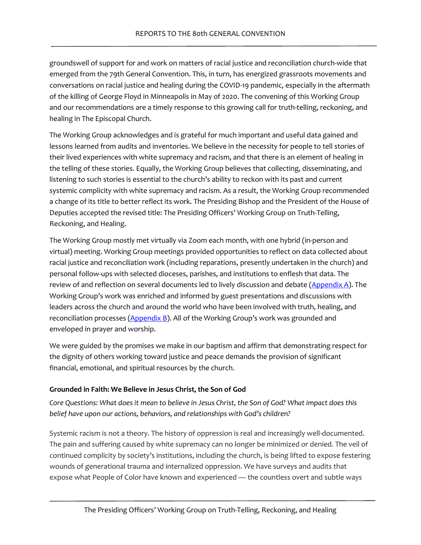groundswell of support for and work on matters of racial justice and reconciliation church-wide that emerged from the 79th General Convention. This, in turn, has energized grassroots movements and conversations on racial justice and healing during the COVID-19 pandemic, especially in the aftermath of the killing of George Floyd in Minneapolis in May of 2020. The convening of this Working Group and our recommendations are a timely response to this growing call for truth-telling, reckoning, and healing in The Episcopal Church.

The Working Group acknowledges and is grateful for much important and useful data gained and lessons learned from audits and inventories. We believe in the necessity for people to tell stories of their lived experiences with white supremacy and racism, and that there is an element of healing in the telling of these stories. Equally, the Working Group believes that collecting, disseminating, and listening to such stories is essential to the church's ability to reckon with its past and current systemic complicity with white supremacy and racism. As a result, the Working Group recommended a change of its title to better reflect its work. The Presiding Bishop and the President of the House of Deputies accepted the revised title: The Presiding Officers' Working Group on Truth-Telling, Reckoning, and Healing.

The Working Group mostly met virtually via Zoom each month, with one hybrid (in-person and virtual) meeting. Working Group meetings provided opportunities to reflect on data collected about racial justice and reconciliation work (including reparations, presently undertaken in the church) and personal follow-ups with selected dioceses, parishes, and institutions to enflesh that data. The review of and reflection on several documents led to lively discussion and debate  $(Appendix A)$ . The Working Group's work was enriched and informed by guest presentations and discussions with leaders across the church and around the world who have been involved with truth, healing, and reconciliation processes  $(Appendix B)$ . All of the Working Group's work was grounded and enveloped in prayer and worship.

We were guided by the promises we make in our baptism and affirm that demonstrating respect for the dignity of others working toward justice and peace demands the provision of significant financial, emotional, and spiritual resources by the church.

#### **Grounded in Faith: We Believe in Jesus Christ, the Son of God**

*Core Questions: What does it mean to believe in Jesus Christ, the Son of God? What impact does this belief have upon our actions, behaviors, and relationships with God's children?* 

Systemic racism is not a theory. The history of oppression is real and increasingly well-documented. The pain and suffering caused by white supremacy can no longer be minimized or denied. The veil of continued complicity by society's institutions, including the church, is being lifted to expose festering wounds of generational trauma and internalized oppression. We have surveys and audits that expose what People of Color have known and experienced — the countless overt and subtle ways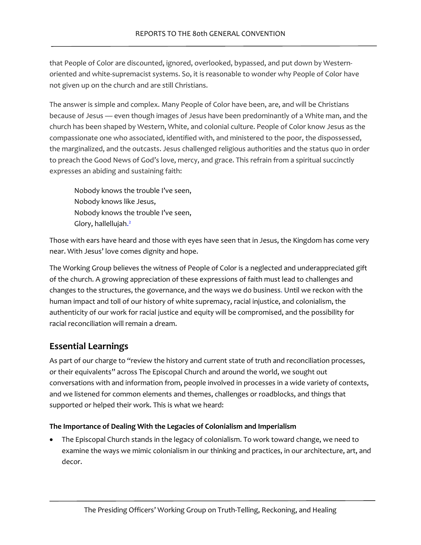that People of Color are discounted, ignored, overlooked, bypassed, and put down by Westernoriented and white-supremacist systems. So, it is reasonable to wonder why People of Color have not given up on the church and are still Christians.

The answer is simple and complex. Many People of Color have been, are, and will be Christians because of Jesus — even though images of Jesus have been predominantly of a White man, and the church has been shaped by Western, White, and colonial culture. People of Color know Jesus as the compassionate one who associated, identified with, and ministered to the poor, the dispossessed, the marginalized, and the outcasts. Jesus challenged religious authorities and the status quo in order to preach the Good News of God's love, mercy, and grace. This refrain from a spiritual succinctly expresses an abiding and sustaining faith:

<span id="page-4-0"></span>Nobody knows the trouble I've seen, Nobody knows like Jesus, Nobody knows the trouble I've seen, Glory, hallelluja[h.](#page-25-1)<sup>2</sup>

Those with ears have heard and those with eyes have seen that in Jesus, the Kingdom has come very near. With Jesus' love comes dignity and hope.

The Working Group believes the witness of People of Color is a neglected and underappreciated gift of the church. A growing appreciation of these expressions of faith must lead to challenges and changes to the structures, the governance, and the ways we do business. Until we reckon with the human impact and toll of our history of white supremacy, racial injustice, and colonialism, the authenticity of our work for racial justice and equity will be compromised, and the possibility for racial reconciliation will remain a dream.

# **Essential Learnings**

As part of our charge to "review the history and current state of truth and reconciliation processes, or their equivalents" across The Episcopal Church and around the world, we sought out conversations with and information from, people involved in processes in a wide variety of contexts, and we listened for common elements and themes, challenges or roadblocks, and things that supported or helped their work. This is what we heard:

### **The Importance of Dealing With the Legacies of Colonialism and Imperialism**

• The Episcopal Church stands in the legacy of colonialism. To work toward change, we need to examine the ways we mimic colonialism in our thinking and practices, in our architecture, art, and decor.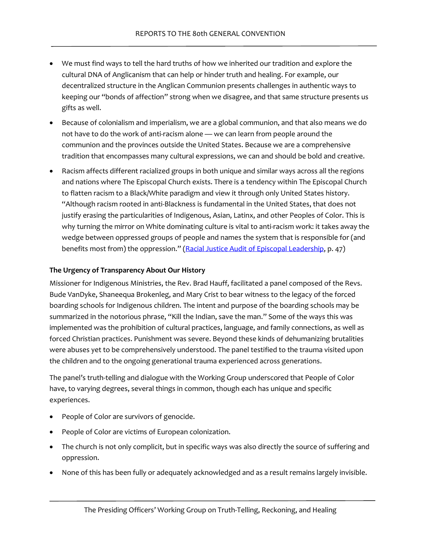- We must find ways to tell the hard truths of how we inherited our tradition and explore the cultural DNA of Anglicanism that can help or hinder truth and healing. For example, our decentralized structure in the Anglican Communion presents challenges in authentic ways to keeping our "bonds of affection" strong when we disagree, and that same structure presents us gifts as well.
- Because of colonialism and imperialism, we are a global communion, and that also means we do not have to do the work of anti-racism alone — we can learn from people around the communion and the provinces outside the United States. Because we are a comprehensive tradition that encompasses many cultural expressions, we can and should be bold and creative.
- Racism affects different racialized groups in both unique and similar ways across all the regions and nations where The Episcopal Church exists. There is a tendency within The Episcopal Church to flatten racism to a Black/White paradigm and view it through only United States history. "Although racism rooted in anti-Blackness is fundamental in the United States, that does not justify erasing the particularities of Indigenous, Asian, Latinx, and other Peoples of Color. This is why turning the mirror on White dominating culture is vital to anti-racism work: it takes away the wedge between oppressed groups of people and names the system that is responsible for (and benefits most from) the oppression." [\(Racial Justice Audit of Episcopal Leadership,](https://www.episcopalchurch.org/wp-content/uploads/sites/2/2021/04/RR-Racial-Justice-Audit-Report_ENG.pdf) p. 47)

#### **The Urgency of Transparency About Our History**

Missioner for Indigenous Ministries, the Rev. Brad Hauff, facilitated a panel composed of the Revs. Bude VanDyke, Shaneequa Brokenleg, and Mary Crist to bear witness to the legacy of the forced boarding schools for Indigenous children. The intent and purpose of the boarding schools may be summarized in the notorious phrase, "Kill the Indian, save the man." Some of the ways this was implemented was the prohibition of cultural practices, language, and family connections, as well as forced Christian practices. Punishment was severe. Beyond these kinds of dehumanizing brutalities were abuses yet to be comprehensively understood. The panel testified to the trauma visited upon the children and to the ongoing generational trauma experienced across generations.

The panel's truth-telling and dialogue with the Working Group underscored that People of Color have, to varying degrees, several things in common, though each has unique and specific experiences.

- People of Color are survivors of genocide.
- People of Color are victims of European colonization.
- The church is not only complicit, but in specific ways was also directly the source of suffering and oppression.
- None of this has been fully or adequately acknowledged and as a result remains largely invisible.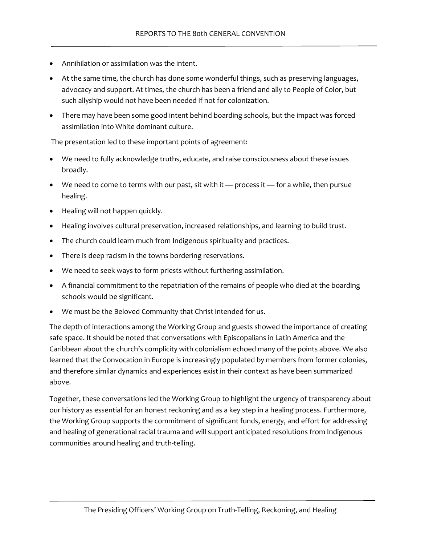- Annihilation or assimilation was the intent.
- At the same time, the church has done some wonderful things, such as preserving languages, advocacy and support. At times, the church has been a friend and ally to People of Color, but such allyship would not have been needed if not for colonization.
- There may have been some good intent behind boarding schools, but the impact was forced assimilation into White dominant culture.

The presentation led to these important points of agreement:

- We need to fully acknowledge truths, educate, and raise consciousness about these issues broadly.
- We need to come to terms with our past, sit with it process it for a while, then pursue healing.
- Healing will not happen quickly.
- Healing involves cultural preservation, increased relationships, and learning to build trust.
- The church could learn much from Indigenous spirituality and practices.
- There is deep racism in the towns bordering reservations.
- We need to seek ways to form priests without furthering assimilation.
- A financial commitment to the repatriation of the remains of people who died at the boarding schools would be significant.
- We must be the Beloved Community that Christ intended for us.

The depth of interactions among the Working Group and guests showed the importance of creating safe space. It should be noted that conversations with Episcopalians in Latin America and the Caribbean about the church's complicity with colonialism echoed many of the points above. We also learned that the Convocation in Europe is increasingly populated by members from former colonies, and therefore similar dynamics and experiences exist in their context as have been summarized above.

Together, these conversations led the Working Group to highlight the urgency of transparency about our history as essential for an honest reckoning and as a key step in a healing process. Furthermore, the Working Group supports the commitment of significant funds, energy, and effort for addressing and healing of generational racial trauma and will support anticipated resolutions from Indigenous communities around healing and truth-telling.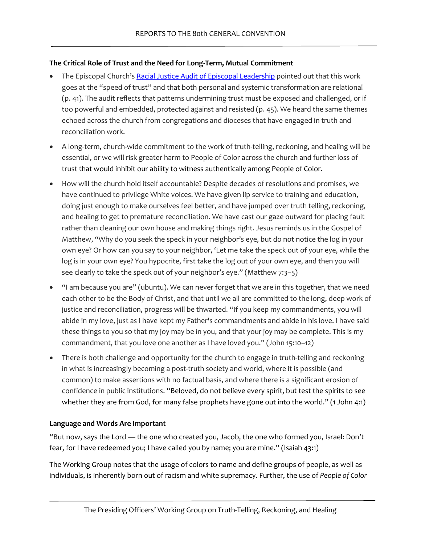#### **The Critical Role of Trust and the Need for Long-Term, Mutual Commitment**

- The Episcopal Church'[s Racial Justice Audit of Episcopal Leadership](https://www.episcopalchurch.org/wp-content/uploads/sites/2/2021/04/RR-Racial-Justice-Audit-Report_ENG.pdf) pointed out that this work goes at the "speed of trust" and that both personal and systemic transformation are relational (p. 41). The audit reflects that patterns undermining trust must be exposed and challenged, or if too powerful and embedded, protected against and resisted (p. 45). We heard the same themes echoed across the church from congregations and dioceses that have engaged in truth and reconciliation work.
- A long-term, church-wide commitment to the work of truth-telling, reckoning, and healing will be essential, or we will risk greater harm to People of Color across the church and further loss of trust that would inhibit our ability to witness authentically among People of Color.
- How will the church hold itself accountable? Despite decades of resolutions and promises, we have continued to privilege White voices. We have given lip service to training and education, doing just enough to make ourselves feel better, and have jumped over truth telling, reckoning, and healing to get to premature reconciliation. We have cast our gaze outward for placing fault rather than cleaning our own house and making things right. Jesus reminds us in the Gospel of Matthew, "Why do you seek the speck in your neighbor's eye, but do not notice the log in your own eye? Or how can you say to your neighbor, 'Let me take the speck out of your eye, while the log is in your own eye? You hypocrite, first take the log out of your own eye, and then you will see clearly to take the speck out of your neighbor's eye." (Matthew 7:3–5)
- "I am because you are" (ubuntu). We can never forget that we are in this together, that we need each other to be the Body of Christ, and that until we all are committed to the long, deep work of justice and reconciliation, progress will be thwarted. "If you keep my commandments, you will abide in my love, just as I have kept my Father's commandments and abide in his love. I have said these things to you so that my joy may be in you, and that your joy may be complete. This is my commandment, that you love one another as I have loved you." (John 15:10–12)
- There is both challenge and opportunity for the church to engage in truth-telling and reckoning in what is increasingly becoming a post-truth society and world, where it is possible (and common) to make assertions with no factual basis, and where there is a significant erosion of confidence in public institutions. "Beloved, do not believe every spirit, but test the spirits to see whether they are from God, for many false prophets have gone out into the world." (1 John 4:1)

#### **Language and Words Are Important**

"But now, says the Lord — the one who created you, Jacob, the one who formed you, Israel: Don't fear, for I have redeemed you; I have called you by name; you are mine." (Isaiah 43:1)

The Working Group notes that the usage of colors to name and define groups of people, as well as individuals, is inherently born out of racism and white supremacy. Further, the use of *People of Color*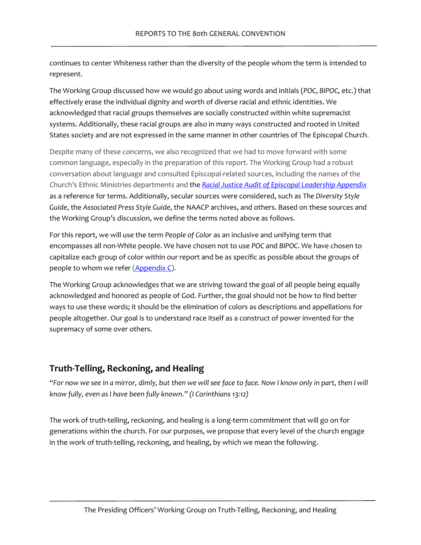continues to center Whiteness rather than the diversity of the people whom the term is intended to represent.

The Working Group discussed how we would go about using words and initials (*POC*, *BIPOC*, etc.) that effectively erase the individual dignity and worth of diverse racial and ethnic identities. We acknowledged that racial groups themselves are socially constructed within white supremacist systems. Additionally, these racial groups are also in many ways constructed and rooted in United States society and are not expressed in the same manner in other countries of The Episcopal Church.

Despite many of these concerns, we also recognized that we had to move forward with some common language, especially in the preparation of this report. The Working Group had a robust conversation about language and consulted Episcopal-related sources, including the names of the Church's Ethnic Ministries departments and the *[Racial Justice Audit of Episcopal Leadership Appendix](https://www.episcopalchurch.org/wp-content/uploads/sites/2/2021/04/RR-Racial-Justice-Audit-Report_ENG.pdf)* as a reference for terms. Additionally, secular sources were considered, such as *The Diversity Style Guide*, the *Associated Press Style Guide*, the NAACP archives, and others. Based on these sources and the Working Group's discussion, we define the terms noted above as follows.

For this report, we will use the term *People of Color* as an inclusive and unifying term that encompasses all non-White people. We have chosen not to use *POC* and *BIPOC*. We have chosen to capitalize each group of color within our report and be as specific as possible about the groups of people to whom we refer  $(Appendix C)$ .

The Working Group acknowledges that we are striving toward the goal of all people being equally acknowledged and honored as people of God. Further, the goal should not be how to find better ways to use these words; it should be the elimination of colors as descriptions and appellations for people altogether. Our goal is to understand race itself as a construct of power invented for the supremacy of some over others.

### **Truth-Telling, Reckoning, and Healing**

*"For now we see in a mirror, dimly, but then we will see face to face. Now I know only in part, then I will know fully, even as I have been fully known." (I Corinthians 13:12)*

The work of truth-telling, reckoning, and healing is a long-term commitment that will go on for generations within the church. For our purposes, we propose that every level of the church engage in the work of truth-telling, reckoning, and healing, by which we mean the following.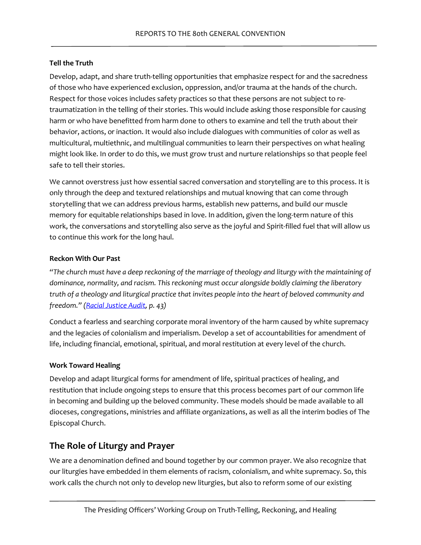#### **Tell the Truth**

Develop, adapt, and share truth-telling opportunities that emphasize respect for and the sacredness of those who have experienced exclusion, oppression, and/or trauma at the hands of the church. Respect for those voices includes safety practices so that these persons are not subject to retraumatization in the telling of their stories. This would include asking those responsible for causing harm or who have benefitted from harm done to others to examine and tell the truth about their behavior, actions, or inaction. It would also include dialogues with communities of color as well as multicultural, multiethnic, and multilingual communities to learn their perspectives on what healing might look like. In order to do this, we must grow trust and nurture relationships so that people feel safe to tell their stories.

We cannot overstress just how essential sacred conversation and storytelling are to this process. It is only through the deep and textured relationships and mutual knowing that can come through storytelling that we can address previous harms, establish new patterns, and build our muscle memory for equitable relationships based in love. In addition, given the long-term nature of this work, the conversations and storytelling also serve as the joyful and Spirit-filled fuel that will allow us to continue this work for the long haul.

#### **Reckon With Our Past**

*"The church must have a deep reckoning of the marriage of theology and liturgy with the maintaining of dominance, normality, and racism. This reckoning must occur alongside boldly claiming the liberatory truth of a theology and liturgical practice that invites people into the heart of beloved community and freedom." [\(Racial Justice Audit,](https://www.episcopalchurch.org/wp-content/uploads/sites/2/2021/04/RR-Racial-Justice-Audit-Report_ENG.pdf) p. 43)*

Conduct a fearless and searching corporate moral inventory of the harm caused by white supremacy and the legacies of colonialism and imperialism. Develop a set of accountabilities for amendment of life, including financial, emotional, spiritual, and moral restitution at every level of the church.

#### **Work Toward Healing**

Develop and adapt liturgical forms for amendment of life, spiritual practices of healing, and restitution that include ongoing steps to ensure that this process becomes part of our common life in becoming and building up the beloved community. These models should be made available to all dioceses, congregations, ministries and affiliate organizations, as well as all the interim bodies of The Episcopal Church.

### **The Role of Liturgy and Prayer**

We are a denomination defined and bound together by our common prayer. We also recognize that our liturgies have embedded in them elements of racism, colonialism, and white supremacy. So, this work calls the church not only to develop new liturgies, but also to reform some of our existing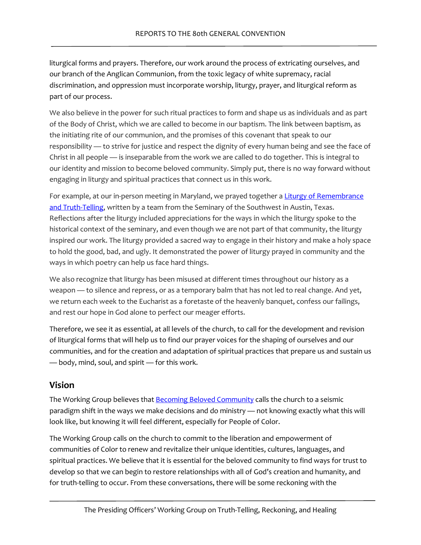liturgical forms and prayers. Therefore, our work around the process of extricating ourselves, and our branch of the Anglican Communion, from the toxic legacy of white supremacy, racial discrimination, and oppression must incorporate worship, liturgy, prayer, and liturgical reform as part of our process.

We also believe in the power for such ritual practices to form and shape us as individuals and as part of the Body of Christ, which we are called to become in our baptism. The link between baptism, as the initiating rite of our communion, and the promises of this covenant that speak to our responsibility — to strive for justice and respect the dignity of every human being and see the face of Christ in all people — is inseparable from the work we are called to do together. This is integral to our identity and mission to become beloved community. Simply put, there is no way forward without engaging in liturgy and spiritual practices that connect us in this work.

For example, at our in-person meeting in Maryland, we prayed together a Liturgy of Remembrance [and Truth-Telling,](https://docs.google.com/document/d/1Ksygm_9KquJXHPzb4ttCL0yNK_lZp1tz/edit?usp=sharing&ouid=117711853601732486829&rtpof=true&sd=true) written by a team from the Seminary of the Southwest in Austin, Texas. Reflections after the liturgy included appreciations for the ways in which the liturgy spoke to the historical context of the seminary, and even though we are not part of that community, the liturgy inspired our work. The liturgy provided a sacred way to engage in their history and make a holy space to hold the good, bad, and ugly. It demonstrated the power of liturgy prayed in community and the ways in which poetry can help us face hard things.

We also recognize that liturgy has been misused at different times throughout our history as a weapon — to silence and repress, or as a temporary balm that has not led to real change. And yet, we return each week to the Eucharist as a foretaste of the heavenly banquet, confess our failings, and rest our hope in God alone to perfect our meager efforts.

Therefore, we see it as essential, at all levels of the church, to call for the development and revision of liturgical forms that will help us to find our prayer voices for the shaping of ourselves and our communities, and for the creation and adaptation of spiritual practices that prepare us and sustain us — body, mind, soul, and spirit — for this work.

### **Vision**

The Working Group believes that **Becoming Beloved Community** calls the church to a seismic paradigm shift in the ways we make decisions and do ministry — not knowing exactly what this will look like, but knowing it will feel different, especially for People of Color.

The Working Group calls on the church to commit to the liberation and empowerment of communities of Color to renew and revitalize their unique identities, cultures, languages, and spiritual practices. We believe that it is essential for the beloved community to find ways for trust to develop so that we can begin to restore relationships with all of God's creation and humanity, and for truth-telling to occur. From these conversations, there will be some reckoning with the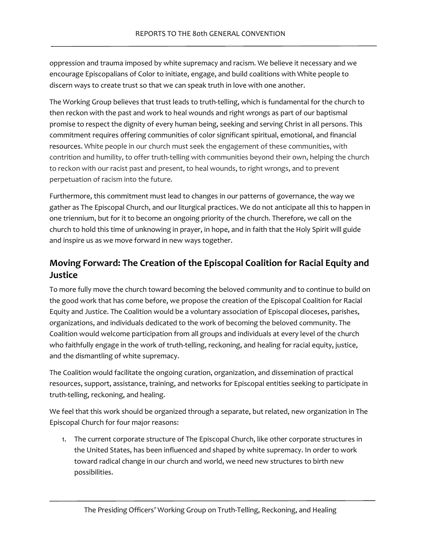oppression and trauma imposed by white supremacy and racism. We believe it necessary and we encourage Episcopalians of Color to initiate, engage, and build coalitions with White people to discern ways to create trust so that we can speak truth in love with one another.

The Working Group believes that trust leads to truth-telling, which is fundamental for the church to then reckon with the past and work to heal wounds and right wrongs as part of our baptismal promise to respect the dignity of every human being, seeking and serving Christ in all persons. This commitment requires offering communities of color significant spiritual, emotional, and financial resources. White people in our church must seek the engagement of these communities, with contrition and humility, to offer truth-telling with communities beyond their own, helping the church to reckon with our racist past and present, to heal wounds, to right wrongs, and to prevent perpetuation of racism into the future.

Furthermore, this commitment must lead to changes in our patterns of governance, the way we gather as The Episcopal Church, and our liturgical practices. We do not anticipate all this to happen in one triennium, but for it to become an ongoing priority of the church. Therefore, we call on the church to hold this time of unknowing in prayer, in hope, and in faith that the Holy Spirit will guide and inspire us as we move forward in new ways together.

# **Moving Forward: The Creation of the Episcopal Coalition for Racial Equity and Justice**

To more fully move the church toward becoming the beloved community and to continue to build on the good work that has come before, we propose the creation of the Episcopal Coalition for Racial Equity and Justice. The Coalition would be a voluntary association of Episcopal dioceses, parishes, organizations, and individuals dedicated to the work of becoming the beloved community. The Coalition would welcome participation from all groups and individuals at every level of the church who faithfully engage in the work of truth-telling, reckoning, and healing for racial equity, justice, and the dismantling of white supremacy.

The Coalition would facilitate the ongoing curation, organization, and dissemination of practical resources, support, assistance, training, and networks for Episcopal entities seeking to participate in truth-telling, reckoning, and healing.

We feel that this work should be organized through a separate, but related, new organization in The Episcopal Church for four major reasons:

1. The current corporate structure of The Episcopal Church, like other corporate structures in the United States, has been influenced and shaped by white supremacy. In order to work toward radical change in our church and world, we need new structures to birth new possibilities.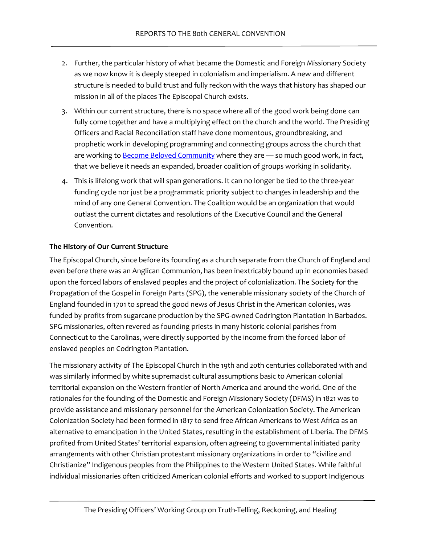- 2. Further, the particular history of what became the Domestic and Foreign Missionary Society as we now know it is deeply steeped in colonialism and imperialism. A new and different structure is needed to build trust and fully reckon with the ways that history has shaped our mission in all of the places The Episcopal Church exists.
- 3. Within our current structure, there is no space where all of the good work being done can fully come together and have a multiplying effect on the church and the world. The Presiding Officers and Racial Reconciliation staff have done momentous, groundbreaking, and prophetic work in developing programming and connecting groups across the church that are working to **[Become Beloved Community](https://www.episcopalchurch.org/wp-content/uploads/sites/2/2021/04/RR-BBCWYA-Full.pdf)** where they are - so much good work, in fact, that we believe it needs an expanded, broader coalition of groups working in solidarity.
- 4. This is lifelong work that will span generations. It can no longer be tied to the three-year funding cycle nor just be a programmatic priority subject to changes in leadership and the mind of any one General Convention. The Coalition would be an organization that would outlast the current dictates and resolutions of the Executive Council and the General Convention.

#### **The History of Our Current Structure**

The Episcopal Church, since before its founding as a church separate from the Church of England and even before there was an Anglican Communion, has been inextricably bound up in economies based upon the forced labors of enslaved peoples and the project of colonialization. The Society for the Propagation of the Gospel in Foreign Parts (SPG), the venerable missionary society of the Church of England founded in 1701 to spread the good news of Jesus Christ in the American colonies, was funded by profits from sugarcane production by the SPG-owned Codrington Plantation in Barbados. SPG missionaries, often revered as founding priests in many historic colonial parishes from Connecticut to the Carolinas, were directly supported by the income from the forced labor of enslaved peoples on Codrington Plantation.

The missionary activity of The Episcopal Church in the 19th and 20th centuries collaborated with and was similarly informed by white supremacist cultural assumptions basic to American colonial territorial expansion on the Western frontier of North America and around the world. One of the rationales for the founding of the Domestic and Foreign Missionary Society (DFMS) in 1821 was to provide assistance and missionary personnel for the American Colonization Society. The American Colonization Society had been formed in 1817 to send free African Americans to West Africa as an alternative to emancipation in the United States, resulting in the establishment of Liberia. The DFMS profited from United States' territorial expansion, often agreeing to governmental initiated parity arrangements with other Christian protestant missionary organizations in order to "civilize and Christianize" Indigenous peoples from the Philippines to the Western United States. While faithful individual missionaries often criticized American colonial efforts and worked to support Indigenous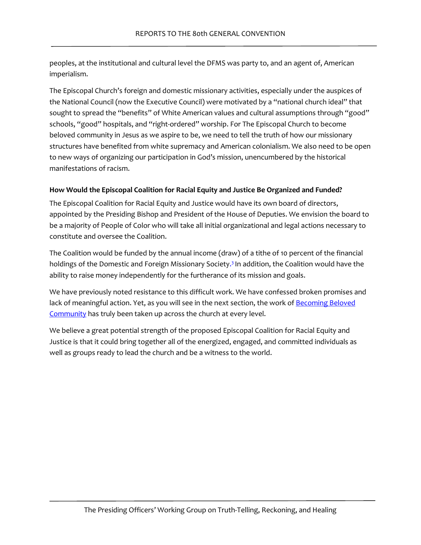peoples, at the institutional and cultural level the DFMS was party to, and an agent of, American imperialism.

The Episcopal Church's foreign and domestic missionary activities, especially under the auspices of the National Council (now the Executive Council) were motivated by a "national church ideal" that sought to spread the "benefits" of White American values and cultural assumptions through "good" schools, "good" hospitals, and "right-ordered" worship. For The Episcopal Church to become beloved community in Jesus as we aspire to be, we need to tell the truth of how our missionary structures have benefited from white supremacy and American colonialism. We also need to be open to new ways of organizing our participation in God's mission, unencumbered by the historical manifestations of racism.

#### **How Would the Episcopal Coalition for Racial Equity and Justice Be Organized and Funded?**

The Episcopal Coalition for Racial Equity and Justice would have its own board of directors, appointed by the Presiding Bishop and President of the House of Deputies. We envision the board to be a majority of People of Color who will take all initial organizational and legal actions necessary to constitute and oversee the Coalition.

<span id="page-13-0"></span>The Coalition would be funded by the annual income (draw) of a tithe of 10 percent of the financial holdings of the Domestic and Foreign Missionary Societ[y.](#page-25-2)<sup>3</sup> In addition, the Coalition would have the ability to raise money independently for the furtherance of its mission and goals.

We have previously noted resistance to this difficult work. We have confessed broken promises and lack of meaningful action. Yet, as you will see in the next section, the work of Becoming Beloved [Community](https://www.episcopalchurch.org/beloved-community/) has truly been taken up across the church at every level.

We believe a great potential strength of the proposed Episcopal Coalition for Racial Equity and Justice is that it could bring together all of the energized, engaged, and committed individuals as well as groups ready to lead the church and be a witness to the world.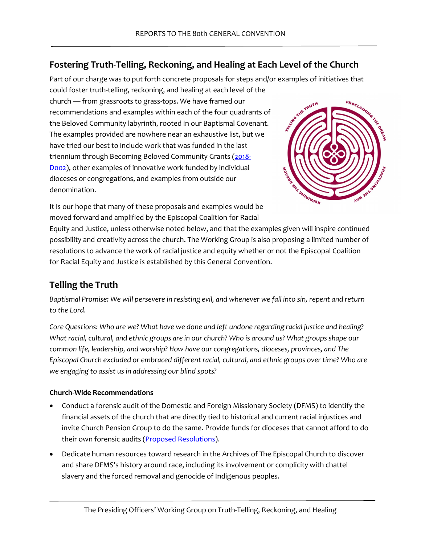# **Fostering Truth-Telling, Reckoning, and Healing at Each Level of the Church**

Part of our charge was to put forth concrete proposals for steps and/or examples of initiatives that could foster truth-telling, reckoning, and healing at each level of the

church — from grassroots to grass-tops. We have framed our recommendations and examples within each of the four quadrants of the Beloved Community labyrinth, rooted in our Baptismal Covenant. The examples provided are nowhere near an exhaustive list, but we have tried our best to include work that was funded in the last triennium through Becoming Beloved Community Grants [\(2018-](https://www.episcopalarchives.org/cgi-bin/acts/acts_search.pl) [D002\)](https://www.episcopalarchives.org/cgi-bin/acts/acts_search.pl), other examples of innovative work funded by individual dioceses or congregations, and examples from outside our denomination.



It is our hope that many of these proposals and examples would be moved forward and amplified by the Episcopal Coalition for Racial

Equity and Justice, unless otherwise noted below, and that the examples given will inspire continued possibility and creativity across the church. The Working Group is also proposing a limited number of resolutions to advance the work of racial justice and equity whether or not the Episcopal Coalition for Racial Equity and Justice is established by this General Convention.

# **Telling the Truth**

*Baptismal Promise: We will persevere in resisting evil, and whenever we fall into sin, repent and return to the Lord.*

*Core Questions: Who are we? What have we done and left undone regarding racial justice and healing? What racial, cultural, and ethnic groups are in our church? Who is around us? What groups shape our common life, leadership, and worship? How have our congregations, dioceses, provinces, and The Episcopal Church excluded or embraced different racial, cultural, and ethnic groups over time? Who are we engaging to assist us in addressing our blind spots?* 

### **Church-Wide Recommendations**

- Conduct a forensic audit of the Domestic and Foreign Missionary Society (DFMS) to identify the financial assets of the church that are directly tied to historical and current racial injustices and invite Church Pension Group to do the same. Provide funds for dioceses that cannot afford to do their own forensic audits [\(Proposed Resolutions\)](#page-25-3).
- Dedicate human resources toward research in the Archives of The Episcopal Church to discover and share DFMS's history around race, including its involvement or complicity with chattel slavery and the forced removal and genocide of Indigenous peoples.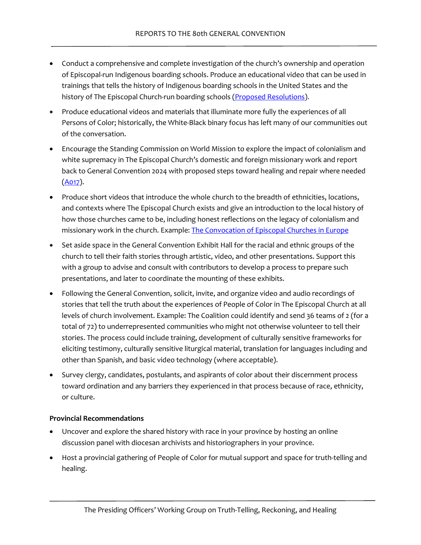- Conduct a comprehensive and complete investigation of the church's ownership and operation of Episcopal-run Indigenous boarding schools. Produce an educational video that can be used in trainings that tells the history of Indigenous boarding schools in the United States and the history of The Episcopal Church-run boarding schools [\(Proposed Resolutions\)](#page-25-3).
- Produce educational videos and materials that illuminate more fully the experiences of all Persons of Color; historically, the White-Black binary focus has left many of our communities out of the conversation.
- Encourage the Standing Commission on World Mission to explore the impact of colonialism and white supremacy in The Episcopal Church's domestic and foreign missionary work and report back to General Convention 2024 with proposed steps toward healing and repair where needed  $(A017)$ .
- Produce short videos that introduce the whole church to the breadth of ethnicities, locations, and contexts where The Episcopal Church exists and give an introduction to the local history of how those churches came to be, including honest reflections on the legacy of colonialism and missionary work in the church. Example[: The Convocation of Episcopal Churches in Europe](https://www.youtube.com/watch?v=VwwDwbu0E5w)
- Set aside space in the General Convention Exhibit Hall for the racial and ethnic groups of the church to tell their faith stories through artistic, video, and other presentations. Support this with a group to advise and consult with contributors to develop a process to prepare such presentations, and later to coordinate the mounting of these exhibits.
- Following the General Convention, solicit, invite, and organize video and audio recordings of stories that tell the truth about the experiences of People of Color in The Episcopal Church at all levels of church involvement. Example: The Coalition could identify and send 36 teams of 2 (for a total of 72) to underrepresented communities who might not otherwise volunteer to tell their stories. The process could include training, development of culturally sensitive frameworks for eliciting testimony, culturally sensitive liturgical material, translation for languages including and other than Spanish, and basic video technology (where acceptable).
- Survey clergy, candidates, postulants, and aspirants of color about their discernment process toward ordination and any barriers they experienced in that process because of race, ethnicity, or culture.

#### **Provincial Recommendations**

- Uncover and explore the shared history with race in your province by hosting an online discussion panel with diocesan archivists and historiographers in your province.
- Host a provincial gathering of People of Color for mutual support and space for truth-telling and healing.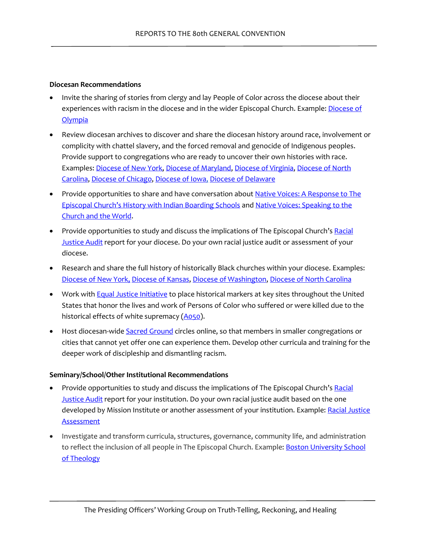#### **Diocesan Recommendations**

- Invite the sharing of stories from clergy and lay People of Color across the diocese about their experiences with racism in the diocese and in the wider Episcopal Church. Example: Diocese of **[Olympia](https://www.youtube.com/watch?v=WzjDSF7VSG0)**
- Review diocesan archives to discover and share the diocesan history around race, involvement or complicity with chattel slavery, and the forced removal and genocide of Indigenous peoples. Provide support to congregations who are ready to uncover their own histories with race. Examples[: Diocese of New York,](https://blackpresence.episcopalny.org/) [Diocese of Maryland,](https://images.yourfaithstory.org/wp-content/uploads/sites/6/2019/04/27095253/Racism-in-the-Anglican-and-Episcopal-Church-of-Maryland.pdf) [Diocese of Virginia,](https://www.episcopalarchives.org/sites/default/files/anti-racism/dioceses/Virginia_Study.pdf) [Diocese of North](https://www.episdionc.org/blog/disciple-the-truth-of-it-all/)  [Carolina,](https://www.episdionc.org/blog/disciple-the-truth-of-it-all/) [Diocese of Chicago,](https://episcopalchicago.org/wp-content/uploads/2020/11/Final-Edited-12-06-2016-Report-Legacy-of-Slavery-Taskforce-issued-May-2017-1.pdf) [Diocese of Iowa,](https://becomingbelovedcommunity.org/raceiniowa) [Diocese of Delaware](https://delaware.church/racial-justice/)
- Provide opportunities to share and have conversation about Native Voices: A Response to The [Episcopal Church's History with Indian Boarding Schools](https://www.episcopalchurch.org/ministries/indigenous-ministries/) an[d Native Voices: Speaking to the](https://youtu.be/HEvcyMvlv0I)  [Church and the World.](https://youtu.be/HEvcyMvlv0I)
- Provide opportunities to study and discuss the implications of The Episcopal Church's Racial [Justice Audit](https://www.episcopalchurch.org/wp-content/uploads/sites/2/2021/04/RR-Racial-Justice-Audit-Report_ENG.pdf) report for your diocese. Do your own racial justice audit or assessment of your diocese.
- Research and share the full history of historically Black churches within your diocese. Examples: [Diocese of New York,](https://blackpresence.episcopalny.org/) [Diocese of Kansas,](https://episcopal-ks.org/the-former-black-churches-of-the-diocese-of-kansas/) [Diocese of Washington,](https://lucychumbley.com/soul-pilgrimage-tour/) [Diocese of North Carolina](https://www.episdionc.org/uploads/files/_BOOKLET_-_Short_Sketches.pdf)
- Work wit[h Equal Justice Initiative](https://eji.org/) to place historical markers at key sites throughout the United States that honor the lives and work of Persons of Color who suffered or were killed due to the historical effects of white supremacy [\(A050\)](https://www.vbinder.net/resolutions/50?house=HD&lang=en).
- Host diocesan-wide [Sacred Ground](https://www.episcopalchurch.org/sacred-ground/) circles online, so that members in smaller congregations or cities that cannot yet offer one can experience them. Develop other curricula and training for the deeper work of discipleship and dismantling racism.

#### **Seminary/School/Other Institutional Recommendations**

- Provide opportunities to study and discuss the implications of The Episcopal Church's Racial [Justice Audit](https://www.episcopalchurch.org/wp-content/uploads/sites/2/2021/04/RR-Racial-Justice-Audit-Report_ENG.pdf) report for your institution. Do your own racial justice audit based on the one developed by Mission Institute or another assessment of your institution. Example: Racial Justice **[Assessment](https://static1.squarespace.com/static/5a5e7a12c027d891c0f454c0/t/600d946609ec2d32375e3611/1611502694970/AssessingOurOrganizations_RacialJustice.pdf)**
- Investigate and transform curricula, structures, governance, community life, and administration to reflect the inclusion of all people in The Episcopal Church. Example: **Boston University School** [of Theology](https://www.bu.edu/sth/news-media/anti-racism-advocacy/)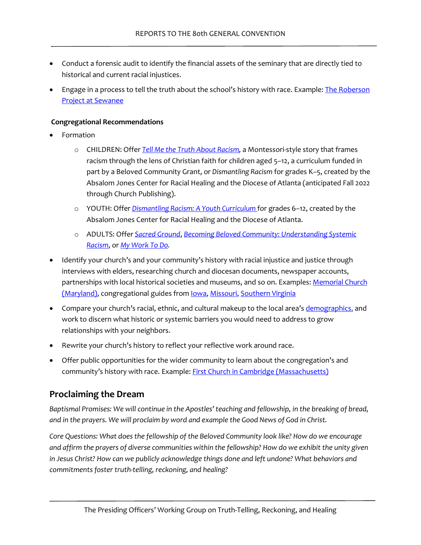- Conduct a forensic audit to identify the financial assets of the seminary that are directly tied to historical and current racial injustices.
- Engage in a process to tell the truth about the school's history with race. Example: The Roberson [Project at Sewanee](https://new.sewanee.edu/roberson-project/)

#### **Congregational Recommendations**

- Formation
	- o CHILDREN: Offer *[Tell Me the Truth About Racism,](https://www.tellmethetruthaboutracism.org/home)* a Montessori-style story that frames racism through the lens of Christian faith for children aged 5–12, a curriculum funded in part by a Beloved Community Grant, or *Dismantling Racism* for grades K–5, created by the Absalom Jones Center for Racial Healing and the Diocese of Atlanta (anticipated Fall 2022 through Church Publishing).
	- o YOUTH: Offer *[Dismantling Racism: A Youth Curriculum](https://www.churchpublishing.org/dismantlingracismleaderguide)* [f](https://www.churchpublishing.org/dismantlingracismleaderguide)or grades 6–12, created by the Absalom Jones Center for Racial Healing and the Diocese of Atlanta.
	- o ADULTS: Offer *[Sacred Ground](https://www.episcopalchurch.org/sacred-ground/)*, *[Becoming Beloved Community: Understanding Systemic](https://www.churchnext.tv/library/becoming-beloved-community-understanding-systemic-racism-for-groups-174527/385890/about/?fbclid=IwAR12yJRBDbwk48w5HLifkC59fgAeRTm3sB3dr9CLv3rMhi7k3ODz4NJRO-0)  [Racism](https://www.churchnext.tv/library/becoming-beloved-community-understanding-systemic-racism-for-groups-174527/385890/about/?fbclid=IwAR12yJRBDbwk48w5HLifkC59fgAeRTm3sB3dr9CLv3rMhi7k3ODz4NJRO-0)*, or *[My Work To Do.](https://www.myworktodo.com/)*
- Identify your church's and your community's history with racial injustice and justice through interviews with elders, researching church and diocesan documents, newspaper accounts, partnerships with local historical societies and museums, and so on. Examples: Memorial Church [\(Maryland\),](https://memorialepiscopal.squarespace.com/atonement-and-reconciliation) congregational guides fro[m Iowa,](https://static1.squarespace.com/static/5a5e7a12c027d891c0f454c0/t/61755ec0be55e47378832a55/1635081921137/2021+Conversation+Guide-+A+Season+of+Truth+and+Healing.pdf) [Missouri,](https://www.diocesemo.org/uploads/images/seekingourpastcreatingourfuture_790.pdf) [Southern Virginia](http://images.acswebnetworks.com/1/2279/RepairingtheBreachStudyGuide.pdf)
- Compare your church's racial, ethnic, and cultural makeup to the local area'[s demographics,](https://datastorycloud.com/episcopal/publicviewer/) and work to discern what historic or systemic barriers you would need to address to grow relationships with your neighbors.
- Rewrite your church's history to reflect your reflective work around race.
- Offer public opportunities for the wider community to learn about the congregation's and community's history with race. Example: [First Church in Cambridge \(Massachusetts\)](https://www.firstchurchcambridge.org/owning-our-history/)

### **Proclaiming the Dream**

*Baptismal Promises: We will continue in the Apostles' teaching and fellowship, in the breaking of bread, and in the prayers. We will proclaim by word and example the Good News of God in Christ.* 

*Core Questions: What does the fellowship of the Beloved Community look like? How do we encourage and affirm the prayers of diverse communities within the fellowship? How do we exhibit the unity given*  in Jesus Christ? How can we publicly acknowledge things done and left undone? What behaviors and *commitments foster truth-telling, reckoning, and healing?*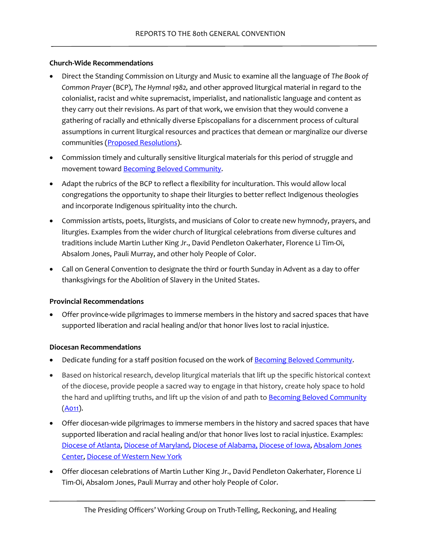#### **Church-Wide Recommendations**

- Direct the Standing Commission on Liturgy and Music to examine all the language of *The Book of Common Prayer* (BCP), *The Hymnal 1982,* and other approved liturgical material in regard to the colonialist, racist and white supremacist, imperialist, and nationalistic language and content as they carry out their revisions. As part of that work, we envision that they would convene a gathering of racially and ethnically diverse Episcopalians for a discernment process of cultural assumptions in current liturgical resources and practices that demean or marginalize our diverse communities [\(Proposed Resolutions\)](#page-25-3).
- Commission timely and culturally sensitive liturgical materials for this period of struggle and movement toward [Becoming Beloved Community.](https://www.episcopalchurch.org/beloved-community/)
- Adapt the rubrics of the BCP to reflect a flexibility for inculturation. This would allow local congregations the opportunity to shape their liturgies to better reflect Indigenous theologies and incorporate Indigenous spirituality into the church.
- Commission artists, poets, liturgists, and musicians of Color to create new hymnody, prayers, and liturgies. Examples from the wider church of liturgical celebrations from diverse cultures and traditions include Martin Luther King Jr., David Pendleton Oakerhater, Florence Li Tim-Oi, Absalom Jones, Pauli Murray, and other holy People of Color.
- Call on General Convention to designate the third or fourth Sunday in Advent as a day to offer thanksgivings for the Abolition of Slavery in the United States.

#### **Provincial Recommendations**

• Offer province-wide pilgrimages to immerse members in the history and sacred spaces that have supported liberation and racial healing and/or that honor lives lost to racial injustice.

#### **Diocesan Recommendations**

- Dedicate funding for a staff position focused on the work of **Becoming Beloved Community**.
- Based on historical research, develop liturgical materials that lift up the specific historical context of the diocese, provide people a sacred way to engage in that history, create holy space to hold the hard and uplifting truths, and lift up the vision of and path to **Becoming Beloved Community**  $(A011).$  $(A011).$
- Offer diocesan-wide pilgrimages to immerse members in the history and sacred spaces that have supported liberation and racial healing and/or that honor lives lost to racial injustice. Examples: [Diocese of Atlanta,](https://www.centerforracialhealing.org/post/reclaiming-hope-through-remembering-pilgrimages-to-georgia-site-of-martyrdom) [Diocese of Maryland,](https://trailofsouls.org/) [Diocese of Alabama,](https://dioala.org/jonathandaniels) [Diocese of Iowa,](https://becomingbelovedcommunity.org/events/2019/4/13/truth-telling-along-the-freedom-trail-bp893?rq=pilgrimage) [Absalom Jones](https://www.episcopalnewsservice.org/2019/05/23/justice-pilgrimage-brings-together-20-episcopal-clergy-members-for-intensive-racial-healing-work/)  [Center,](https://www.episcopalnewsservice.org/2019/05/23/justice-pilgrimage-brings-together-20-episcopal-clergy-members-for-intensive-racial-healing-work/) [Diocese of Western New York](https://episcopalpartnership.org/an-introduction-to-the-niagara-falls-underground-railroad-heritage-center/)
- Offer diocesan celebrations of Martin Luther King Jr., David Pendleton Oakerhater, Florence Li Tim-Oi, Absalom Jones, Pauli Murray and other holy People of Color.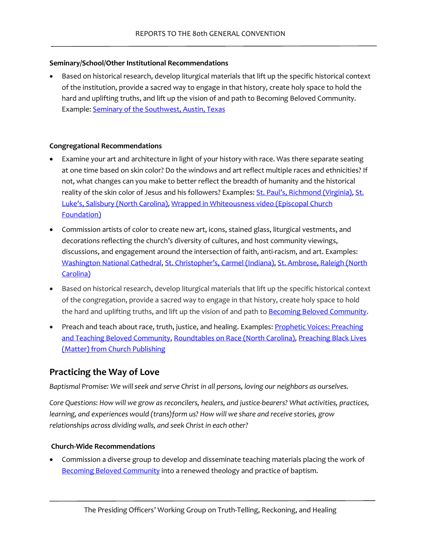#### **Seminary/School/Other Institutional Recommendations**

• Based on historical research, develop liturgical materials that lift up the specific historical context of the institution, provide a sacred way to engage in that history, create holy space to hold the hard and uplifting truths, and lift up the vision of and path to Becoming Beloved Community. Example: [Seminary of the Southwest, Austin, Texas](https://docs.google.com/document/d/1Ksygm_9KquJXHPzb4ttCL0yNK_lZp1tz/edit?usp=sharing&ouid=117711853601732486829&rtpof=true&sd=true)

#### **Congregational Recommendations**

- Examine your art and architecture in light of your history with race. Was there separate seating at one time based on skin color? Do the windows and art reflect multiple races and ethnicities? If not, what changes can you make to better reflect the breadth of humanity and the historical reality of the skin color of Jesus and his followers? Examples: [St. Paul's, Richmond \(Virginia\),](https://www.stpaulsrva.org/HRI) St. [Luke's, Salisbury \(North Carolina\)](https://www.stlukessalisbury.net/bbc), [Wrapped in Whiteousness video \(Episcopal Church](https://youtu.be/3cLCtftMFL4)  [Foundation\)](https://youtu.be/3cLCtftMFL4)
- Commission artists of color to create new art, icons, stained glass, liturgical vestments, and decorations reflecting the church's diversity of cultures, and host community viewings, discussions, and engagement around the intersection of faith, anti-racism, and art. Examples: [Washington National Cathedral,](https://mydigimag.rrd.com/publication/?i=734720&ver=html5&p=6&fbclid=IwAR1VjxGlxi7fu5ZRiJYRh1Xwht816pn2P793Jq9q_cyTlZWtxVUEfJqh1cM) [St. Christopher's, Carmel \(Indiana\),](https://www.indyartsguide.org/classified/psalms-revisited-exhibitions-seeks-artwork-from-bipoc-artists/) [St. Ambrose, Raleigh \(North](https://stambroseraleigh.org/wp-content/uploads/2021/08/Holy_Disruption-2.pdf)  [Carolina\)](https://stambroseraleigh.org/wp-content/uploads/2021/08/Holy_Disruption-2.pdf)
- Based on historical research, develop liturgical materials that lift up the specific historical context of the congregation, provide a sacred way to engage in that history, create holy space to hold the hard and uplifting truths, and lift up the vision of and path to **Becoming Beloved Community.**
- Preach and teach about race, truth, justice, and healing. Examples: Prophetic Voices: Preaching [and Teaching Beloved Community,](https://media.episcopalchurch.org/podcasts/show/prophetic-voices-preaching-and-teaching-beloved-community/) [Roundtables on Race \(North Carolina\),](https://www.episdionc.org/roundtables-on-race/) [Preaching Black Lives](https://www.churchpublishing.org/preachingblacklivesmatter)  [\(Matter\) from Church Publishing](https://www.churchpublishing.org/preachingblacklivesmatter)

### **Practicing the Way of Love**

*Baptismal Promise: We will seek and serve Christ in all persons, loving our neighbors as ourselves.*

*Core Questions: How will we grow as reconcilers, healers, and justice-bearers? What activities, practices, learning, and experiences would (trans)form us? How will we share and receive stories, grow relationships across dividing walls, and seek Christ in each other?* 

#### **Church-Wide Recommendations**

• Commission a diverse group to develop and disseminate teaching materials placing the work of [Becoming Beloved Community](https://www.episcopalchurch.org/beloved-community/) into a renewed theology and practice of baptism.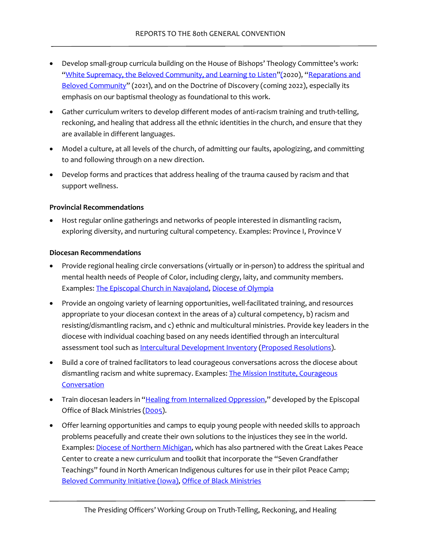- Develop small-group curricula building on the House of Bishops' Theology Committee's work: ["White Supremacy, the Beloved Community, and Learning to Listen"](https://www.episcopalchurch.org/wp-content/uploads/sites/2/2020/11/bbc_hob_theo_cmte_report_on_white_supremacy.pdf)(2020), ["Reparations and](https://www.episcopalchurch.org/wp-content/uploads/sites/2/2020/11/bbc_hob_theo_cmte_report_on_white_supremacy.pdf)  [Beloved Community"](https://www.episcopalchurch.org/wp-content/uploads/sites/2/2020/11/bbc_hob_theo_cmte_report_on_white_supremacy.pdf) (2021), and on the Doctrine of Discovery (coming 2022), especially its emphasis on our baptismal theology as foundational to this work.
- Gather curriculum writers to develop different modes of anti-racism training and truth-telling, reckoning, and healing that address all the ethnic identities in the church, and ensure that they are available in different languages.
- Model a culture, at all levels of the church, of admitting our faults, apologizing, and committing to and following through on a new direction.
- Develop forms and practices that address healing of the trauma caused by racism and that support wellness.

#### **Provincial Recommendations**

• Host regular online gatherings and networks of people interested in dismantling racism, exploring diversity, and nurturing cultural competency. Examples: [Province I,](https://www.province1.org/exploring-diversity) [Province V](https://www.provincev.org/dismantlingracism.html)

#### **Diocesan Recommendations**

- Provide regional healing circle conversations (virtually or in-person) to address the spiritual and mental health needs of People of Color, including clergy, laity, and community members. Examples[: The Episcopal Church in Navajoland,](https://indd.adobe.com/view/1d9085ec-f111-4419-9cc0-a138007efb8d) [Diocese of Olympia](https://ecww.org/ethnic-ministries-circles-of-color-in-the-diocese-of-olympia/)
- Provide an ongoing variety of learning opportunities, well-facilitated training, and resources appropriate to your diocesan context in the areas of a) cultural competency, b) racism and resisting/dismantling racism, and c) ethnic and multicultural ministries. Provide key leaders in the diocese with individual coaching based on any needs identified through an intercultural assessment tool such as [Intercultural Development Inventory](https://idiinventory.com/) [\(Proposed Resolutions\)](#page-25-3).
- Build a core of trained facilitators to lead courageous conversations across the diocese about dismantling racism and white supremacy. Examples: [The Mission Institute,](https://themissioninstitute.org/lrjf/) Courageous **Conversation**
- Train diocesan leaders in ["Healing from Internalized Oppression,](https://www.episcopalchurch.org/ministries/black-ministries/healing-internalized-oppression/)" developed by the Episcopal Office of Black Ministries [\(D005\)](https://www.vbinder.net/resolutions/131?house=HD&lang=en).
- Offer learning opportunities and camps to equip young people with needed skills to approach problems peacefully and create their own solutions to the injustices they see in the world. Examples[: Diocese of Northern Michigan,](https://upepiscopal.org/wp-content/uploads/2021/10/Annual-Report-2021.pdf) which has also partnered with the Great Lakes Peace Center to create a new curriculum and toolkit that incorporate the "Seven Grandfather Teachings" found in North American Indigenous cultures for use in their pilot Peace Camp; [Beloved Community Initiative \(Iowa\),](https://becomingbelovedcommunity.org/becoming-beloved-community) [Office of Black Ministries](https://www.episcopalchurch.org/ministries/black-ministries/youth-leadership-academy/)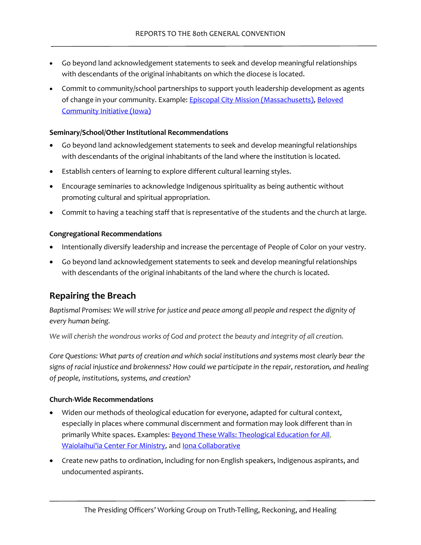- Go beyond land acknowledgement statements to seek and develop meaningful relationships with descendants of the original inhabitants on which the diocese is located.
- Commit to community/school partnerships to support youth leadership development as agents of change in your community. Example[: Episcopal City Mission \(Massachusetts\),](https://www.episcopalcitymission.org/blog/2020/9/9/developing-our-young-leaders) Beloved [Community Initiative \(Iowa\)](https://becomingbelovedcommunity.org/news/2022/2/27/agentsofchange)

#### **Seminary/School/Other Institutional Recommendations**

- Go beyond land acknowledgement statements to seek and develop meaningful relationships with descendants of the original inhabitants of the land where the institution is located.
- Establish centers of learning to explore different cultural learning styles.
- Encourage seminaries to acknowledge Indigenous spirituality as being authentic without promoting cultural and spiritual appropriation.
- Commit to having a teaching staff that is representative of the students and the church at large.

#### **Congregational Recommendations**

- Intentionally diversify leadership and increase the percentage of People of Color on your vestry.
- Go beyond land acknowledgement statements to seek and develop meaningful relationships with descendants of the original inhabitants of the land where the church is located.

### **Repairing the Breach**

*Baptismal Promises: We will strive for justice and peace among all people and respect the dignity of every human being.* 

*We will cherish the wondrous works of God and protect the beauty and integrity of all creation.*

*Core Questions: What parts of creation and which social institutions and systems most clearly bear the signs of racial injustice and brokenness? How could we participate in the repair, restoration, and healing of people, institutions, systems, and creation?* 

#### **Church-Wide Recommendations**

- Widen our methods of theological education for everyone, adapted for cultural context, especially in places where communal discernment and formation may look different than in primarily White spaces. Examples: [Beyond These Walls: Theological Education for All,](https://www.btwcollective.org/) [Waiolaihui'ia Center For Ministry,](https://www.episcopalhawaii.org/waiolaihuiia-center-for-ministry.html) and Iona [Collaborative](http://iona.ssw.edu/)
- Create new paths to ordination, including for non-English speakers, Indigenous aspirants, and undocumented aspirants.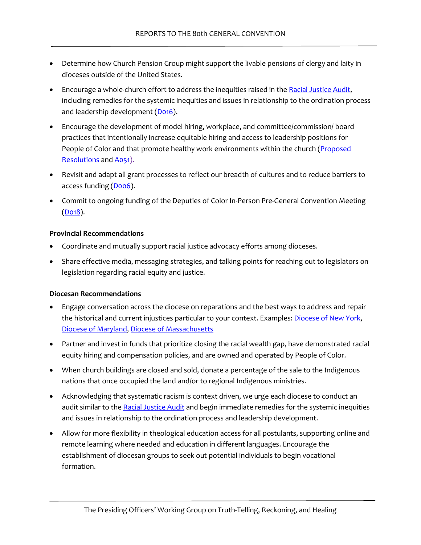- Determine how Church Pension Group might support the livable pensions of clergy and laity in dioceses outside of the United States.
- Encourage a whole-church effort to address the inequities raised in the [Racial Justice Audit,](https://www.episcopalchurch.org/ministries/racial-reconciliation/racial-justice-audit/) including remedies for the systemic inequities and issues in relationship to the ordination process and leadership development [\(D016\)](https://www.vbinder.net/resolutions/142?house=HD&lang=en).
- Encourage the development of model hiring, workplace, and committee/commission/ board practices that intentionally increase equitable hiring and access to leadership positions for People of Color and that promote healthy work environments within the church (Proposed [Resolutions](#page-25-3) an[d A051\)](https://www.vbinder.net/resolutions/51?house=HD&lang=en).
- Revisit and adapt all grant processes to reflect our breadth of cultures and to reduce barriers to access funding (Doo6).
- Commit to ongoing funding of the Deputies of Color In-Person Pre-General Convention Meeting  $(D018)$ .

#### **Provincial Recommendations**

- Coordinate and mutually support racial justice advocacy efforts among dioceses.
- Share effective media, messaging strategies, and talking points for reaching out to legislators on legislation regarding racial equity and justice.

#### **Diocesan Recommendations**

- Engage conversation across the diocese on reparations and the best ways to address and repair the historical and current injustices particular to your context. Examples: [Diocese of New York,](https://dioceseny.org/mission-and-outreach/social-concerns/reparations-for-slavery/) [Diocese of Maryland,](https://www.episcopalnewsservice.org/2021/01/28/from-500000-to-785-maryland-episcopal-churches-commit-to-reparations/) [Diocese of Massachusetts](https://www.diomass.org/news/diocesan-news/new-what-truth-lenten-series-launches-year-study-toward-reparations)
- Partner and invest in funds that prioritize closing the racial wealth gap, have demonstrated racial equity hiring and compensation policies, and are owned and operated by People of Color.
- When church buildings are closed and sold, donate a percentage of the sale to the Indigenous nations that once occupied the land and/or to regional Indigenous ministries.
- Acknowledging that systematic racism is context driven, we urge each diocese to conduct an audit similar to the [Racial Justice Audit](https://www.episcopalchurch.org/ministries/racial-reconciliation/racial-justice-audit/) and begin immediate remedies for the systemic inequities and issues in relationship to the ordination process and leadership development.
- Allow for more flexibility in theological education access for all postulants, supporting online and remote learning where needed and education in different languages. Encourage the establishment of diocesan groups to seek out potential individuals to begin vocational formation.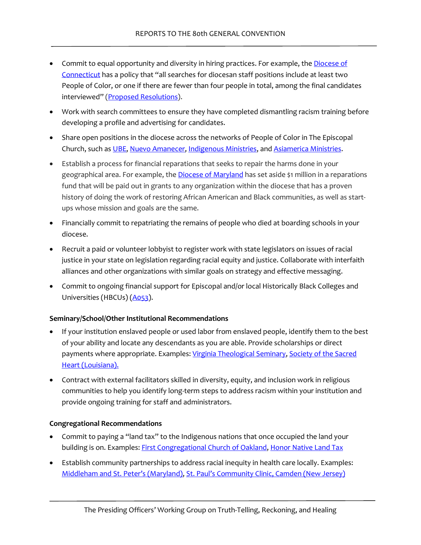- Commit to equal opportunity and diversity in hiring practices. For example, the Diocese of [Connecticut](https://episcopalct-my.sharepoint.com/personal/connecct_episcopalct_org/_layouts/15/onedrive.aspx?id=%2Fpersonal%2Fconnecct%5Fepiscopalct%5Forg%2FDocuments%2FPublic%2FAdministration%2FHuman%20Resources%2FHandbooks%20and%20Manuals%2FEmployee%5FHandbook%5F2020%2Epdf&parent=%2Fpersonal%2Fconnecct%5Fepiscopalct%5Forg%2FDocuments%2FPublic%2FAdministration%2FHuman%20Resources%2FHandbooks%20and%20Manuals) has a policy that "all searches for diocesan staff positions include at least two People of Color, or one if there are fewer than four people in total, among the final candidates interviewed" [\(Proposed Resolutions\)](#page-25-3).
- Work with search committees to ensure they have completed dismantling racism training before developing a profile and advertising for candidates.
- Share open positions in the diocese across the networks of People of Color in The Episcopal Church, such as [UBE,](https://www.ube.org/) [Nuevo Amanecer,](https://www.latinosepiscopales.org/nuevo-amanecer/) [Indigenous Ministries,](https://www.episcopalchurch.org/ministries/indigenous-ministries/) and [Asiamerica Ministries.](https://www.episcopalchurch.org/ministries/asiamerica-ministries/)
- Establish a process for financial reparations that seeks to repair the harms done in your geographical area. For example, the **Diocese of Maryland** has set aside \$1 million in a reparations fund that will be paid out in grants to any organization within the diocese that has a proven history of doing the work of restoring African American and Black communities, as well as startups whose mission and goals are the same.
- Financially commit to repatriating the remains of people who died at boarding schools in your diocese.
- Recruit a paid or volunteer lobbyist to register work with state legislators on issues of racial justice in your state on legislation regarding racial equity and justice. Collaborate with interfaith alliances and other organizations with similar goals on strategy and effective messaging.
- Commit to ongoing financial support for Episcopal and/or local Historically Black Colleges and Universities (HBCUs) [\(A053\)](https://www.vbinder.net/resolutions/53?house=HD&lang=en).

#### **Seminary/School/Other Institutional Recommendations**

- If your institution enslaved people or used labor from enslaved people, identify them to the best of your ability and locate any descendants as you are able. Provide scholarships or direct payments where appropriate. Examples: [Virginia Theological Seminary,](https://vts.edu/mission/multicultural-ministries/reparations/) Society of the Sacred [Heart \(Louisiana\).](https://www.nola.com/news/article_d54ed90a-f8b7-585d-9b65-b85312b5c4f3.html)
- Contract with external facilitators skilled in diversity, equity, and inclusion work in religious communities to help you identify long-term steps to address racism within your institution and provide ongoing training for staff and administrators.

#### **Congregational Recommendations**

- Commit to paying a "land tax" to the Indigenous nations that once occupied the land your building is on. Examples: [First Congregational Church of Oakland,](https://fccolovefirst.org/about-2/) [Honor Native Land Tax](https://www.honornativelandtax.org/)
- Establish community partnerships to address racial inequity in health care locally. Examples: [Middleham and St. Peter's \(Maryland\),](http://www.middlehamandstpeters.org/christian-formation/big-conversation/) [St. Paul's Community Clinic, Camden \(New Jersey\)](https://stpaulschurchcamden.com/media)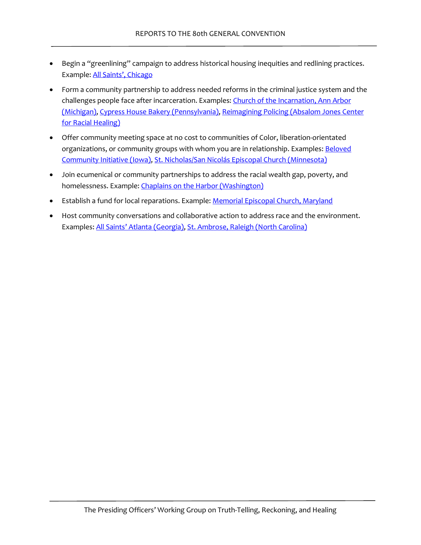- Begin a "greenlining" campaign to address historical housing inequities and redlining practices. Example: [All Saints', Chicago](https://allsaintschicago.org/partnerships/greenlining-campaign/)
- Form a community partnership to address needed reforms in the criminal justice system and the challenges people face after incarceration. Examples: Church of the Incarnation, Ann Arbor [\(Michigan\),](https://bluetent.us/articles/organizing/a-small-group-of-citizen-researchers-has-made-big-waves-in-w/) [Cypress House Bakery \(Pennsylvania\),](http://cypresshouse.org/) [Reimagining Policing \(Absalom Jones Center](https://www.centerforracialhealing.org/programs)  [for Racial Healing\)](https://www.centerforracialhealing.org/programs)
- Offer community meeting space at no cost to communities of Color, liberation-orientated organizations, or community groups with whom you are in relationship. Examples: **Beloved** [Community Initiative \(Iowa\),](https://becomingbelovedcommunity.org/partners) [St. Nicholas/San Nicolás Episcopal Church \(Minnesota\)](https://drive.google.com/file/d/1ZpPRMrdPcZBUthAdOeThT2g-d4D0nEi7/view?usp=sharing)
- Join ecumenical or community partnerships to address the racial wealth gap, poverty, and homelessness. Example: Chaplains on the Harbor (Washington)
- Establish a fund for local reparations. Example: [Memorial Episcopal Church, Maryland](https://www.memorialboltonhill.org/the-memorial-reparations-fund)
- Host community conversations and collaborative action to address race and the environment. Examples[: All Saints' Atlanta \(Georgia\),](https://allsaintsatlanta.org/event/2018590-2021-04-11-the-micah-project-race-and-the-environment/) [St. Ambrose, Raleigh \(North Carolina\)](https://stambroseraleigh.org/our-work/st-ambrose-awarded-24000-creation-care-grant/)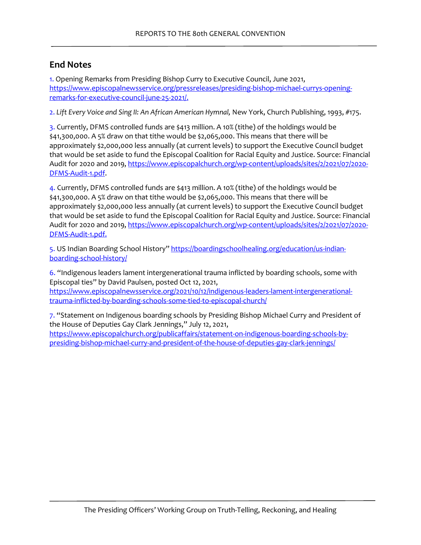### **End Notes**

<span id="page-25-0"></span>[1.](#page-2-0) Opening Remarks from Presiding Bishop Curry to Executive Council, June 2021, [https://www.episcopalnewsservice.org/pressreleases/presiding-bishop-michael-currys-opening](https://www.episcopalnewsservice.org/pressreleases/presiding-bishop-michael-currys-opening-remarks-for-executive-council-june-25-2021/)[remarks-for-executive-council-june-25-2021/.](https://www.episcopalnewsservice.org/pressreleases/presiding-bishop-michael-currys-opening-remarks-for-executive-council-june-25-2021/)

<span id="page-25-1"></span>[2.](#page-4-0) *Lift Every Voice and Sing II: An African American Hymnal,* New York, Church Publishing, 1993, #175.

<span id="page-25-2"></span>[3.](#page-13-0) Currently, DFMS controlled funds are \$413 million. A 10% (tithe) of the holdings would be \$41,300,000. A 5% draw on that tithe would be \$2,065,000. This means that there will be approximately \$2,000,000 less annually (at current levels) to support the Executive Council budget that would be set aside to fund the Episcopal Coalition for Racial Equity and Justice. Source: Financial Audit for 2020 and 2019, [https://www.episcopalchurch.org/wp-content/uploads/sites/2/2021/07/2020-](https://www.episcopalchurch.org/wp-content/uploads/sites/2/2021/07/2020-DFMS-Audit-1.pdf) [DFMS-Audit-1.pdf.](https://www.episcopalchurch.org/wp-content/uploads/sites/2/2021/07/2020-DFMS-Audit-1.pdf)

<span id="page-25-4"></span>[4.](#page-28-0) Currently, DFMS controlled funds are \$413 million. A 10% (tithe) of the holdings would be \$41,300,000. A 5% draw on that tithe would be \$2,065,000. This means that there will be approximately \$2,000,000 less annually (at current levels) to support the Executive Council budget that would be set aside to fund the Episcopal Coalition for Racial Equity and Justice. Source: Financial Audit for 2020 and 2019, [https://www.episcopalchurch.org/wp-content/uploads/sites/2/2021/07/2020-](https://www.episcopalchurch.org/wp-content/uploads/sites/2/2021/07/2020-DFMS-Audit-1.pdf) [DFMS-Audit-1.pdf.](https://www.episcopalchurch.org/wp-content/uploads/sites/2/2021/07/2020-DFMS-Audit-1.pdf)

<span id="page-25-5"></span>[5.](#page-33-0) US Indian Boarding School History" [https://boardingschoolhealing.org/education/us-indian](https://boardingschoolhealing.org/education/us-indian-boarding-school-history/)[boarding-school-history/](https://boardingschoolhealing.org/education/us-indian-boarding-school-history/)

<span id="page-25-6"></span>[6.](#page-33-1) "Indigenous leaders lament intergenerational trauma inflicted by boarding schools, some with Episcopal ties" by David Paulsen, posted Oct 12, 2021,

[https://www.episcopalnewsservice.org/2021/10/12/indigenous-leaders-lament-intergenerational](https://www.episcopalnewsservice.org/2021/10/12/indigenous-leaders-lament-intergenerational-trauma-inflicted-by-boarding-schools-some-tied-to-episcopal-church/)[trauma-inflicted-by-boarding-schools-some-tied-to-episcopal-church/](https://www.episcopalnewsservice.org/2021/10/12/indigenous-leaders-lament-intergenerational-trauma-inflicted-by-boarding-schools-some-tied-to-episcopal-church/)

<span id="page-25-7"></span>[7.](#page-33-2) "Statement on Indigenous boarding schools by Presiding Bishop Michael Curry and President of the House of Deputies Gay Clark Jennings," July 12, 2021,

<span id="page-25-3"></span>[https://www.episcopalchurch.org/publicaffairs/statement-on-indigenous-boarding-schools-by](https://www.episcopalchurch.org/publicaffairs/statement-on-indigenous-boarding-schools-by-presiding-bishop-michael-curry-and-president-of-the-house-of-deputies-gay-clark-jennings/)[presiding-bishop-michael-curry-and-president-of-the-house-of-deputies-gay-clark-jennings/](https://www.episcopalchurch.org/publicaffairs/statement-on-indigenous-boarding-schools-by-presiding-bishop-michael-curry-and-president-of-the-house-of-deputies-gay-clark-jennings/)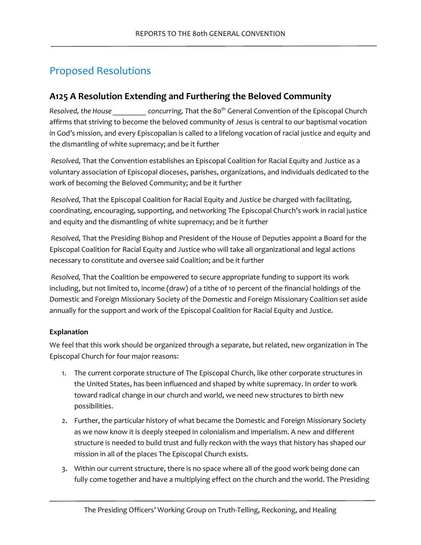# Proposed Resolutions

## **A125 A Resolution Extending and Furthering the Beloved Community**

*Resolved, the House concurring, That the 80<sup>th</sup> General Convention of the Episcopal Church* affirms that striving to become the beloved community of Jesus is central to our baptismal vocation in God's mission, and every Episcopalian is called to a lifelong vocation of racial justice and equity and the dismantling of white supremacy; and be it further

*Resolved,* That the Convention establishes an Episcopal Coalition for Racial Equity and Justice as a voluntary association of Episcopal dioceses, parishes, organizations, and individuals dedicated to the work of becoming the Beloved Community; and be it further

*Resolved,* That the Episcopal Coalition for Racial Equity and Justice be charged with facilitating, coordinating, encouraging, supporting, and networking The Episcopal Church's work in racial justice and equity and the dismantling of white supremacy; and be it further

*Resolved,* That the Presiding Bishop and President of the House of Deputies appoint a Board for the Episcopal Coalition for Racial Equity and Justice who will take all organizational and legal actions necessary to constitute and oversee said Coalition; and be it further

*Resolved,* That the Coalition be empowered to secure appropriate funding to support its work including, but not limited to, income (draw) of a tithe of 10 percent of the financial holdings of the Domestic and Foreign Missionary Society of the Domestic and Foreign Missionary Coalition set aside annually for the support and work of the Episcopal Coalition for Racial Equity and Justice.

### **Explanation**

We feel that this work should be organized through a separate, but related, new organization in The Episcopal Church for four major reasons:

- 1. The current corporate structure of The Episcopal Church, like other corporate structures in the United States, has been influenced and shaped by white supremacy. In order to work toward radical change in our church and world, we need new structures to birth new possibilities.
- 2. Further, the particular history of what became the Domestic and Foreign Missionary Society as we now know it is deeply steeped in colonialism and imperialism. A new and different structure is needed to build trust and fully reckon with the ways that history has shaped our mission in all of the places The Episcopal Church exists.
- 3. Within our current structure, there is no space where all of the good work being done can fully come together and have a multiplying effect on the church and the world. The Presiding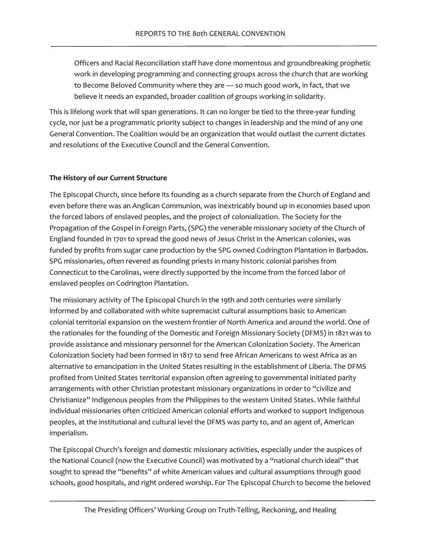Officers and Racial Reconciliation staff have done momentous and groundbreaking prophetic work in developing programming and connecting groups across the church that are working to Become Beloved Community where they are — so much good work, in fact, that we believe it needs an expanded, broader coalition of groups working in solidarity.

This is lifelong work that will span generations. It can no longer be tied to the three-year funding cycle, nor just be a programmatic priority subject to changes in leadership and the mind of any one General Convention. The Coalition would be an organization that would outlast the current dictates and resolutions of the Executive Council and the General Convention.

#### **The History of our Current Structure**

The Episcopal Church, since before its founding as a church separate from the Church of England and even before there was an Anglican Communion, was inextricably bound up in economies based upon the forced labors of enslaved peoples, and the project of colonialization. The Society for the Propagation of the Gospel in Foreign Parts, (SPG) the venerable missionary society of the Church of England founded in 1701 to spread the good news of Jesus Christ in the American colonies, was funded by profits from sugar cane production by the SPG owned Codrington Plantation in Barbados. SPG missionaries, often revered as founding priests in many historic colonial parishes from Connecticut to the Carolinas, were directly supported by the income from the forced labor of enslaved peoples on Codrington Plantation.

The missionary activity of The Episcopal Church in the 19th and 20th centuries were similarly informed by and collaborated with white supremacist cultural assumptions basic to American colonial territorial expansion on the western frontier of North America and around the world. One of the rationales for the founding of the Domestic and Foreign Missionary Society (DFMS) in 1821 was to provide assistance and missionary personnel for the American Colonization Society. The American Colonization Society had been formed in 1817 to send free African Americans to west Africa as an alternative to emancipation in the United States resulting in the establishment of Liberia. The DFMS profited from United States territorial expansion often agreeing to governmental initiated parity arrangements with other Christian protestant missionary organizations in order to "civilize and Christianize" Indigenous peoples from the Philippines to the western United States. While faithful individual missionaries often criticized American colonial efforts and worked to support Indigenous peoples, at the institutional and cultural level the DFMS was party to, and an agent of, American imperialism.

The Episcopal Church's foreign and domestic missionary activities, especially under the auspices of the National Council (now the Executive Council) was motivated by a "national church ideal" that sought to spread the "benefits" of white American values and cultural assumptions through good schools, good hospitals, and right ordered worship. For The Episcopal Church to become the beloved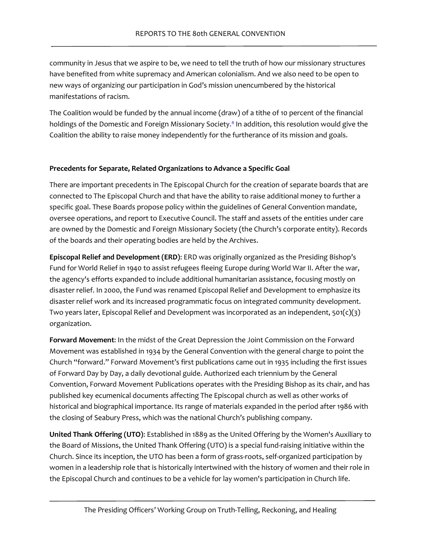community in Jesus that we aspire to be, we need to tell the truth of how our missionary structures have benefited from white supremacy and American colonialism. And we also need to be open to new ways of organizing our participation in God's mission unencumbered by the historical manifestations of racism.

<span id="page-28-0"></span>The Coalition would be funded by the annual income (draw) of a tithe of 10 percent of the financial holdings of the Domestic and Foreign Missionary Societ[y.](#page-25-4) <sup>4</sup> In addition, this resolution would give the Coalition the ability to raise money independently for the furtherance of its mission and goals.

#### **Precedents for Separate, Related Organizations to Advance a Specific Goal**

There are important precedents in The Episcopal Church for the creation of separate boards that are connected to The Episcopal Church and that have the ability to raise additional money to further a specific goal. These Boards propose policy within the guidelines of General Convention mandate, oversee operations, and report to Executive Council. The staff and assets of the entities under care are owned by the Domestic and Foreign Missionary Society (the Church's corporate entity). Records of the boards and their operating bodies are held by the Archives.

**Episcopal Relief and Development (ERD)**: ERD was originally organized as the Presiding Bishop's Fund for World Relief in 1940 to assist refugees fleeing Europe during World War II. After the war, the agency's efforts expanded to include additional humanitarian assistance, focusing mostly on disaster relief. In 2000, the Fund was renamed Episcopal Relief and Development to emphasize its disaster relief work and its increased programmatic focus on integrated community development. Two years later, Episcopal Relief and Development was incorporated as an independent,  $501(c)(3)$ organization.

**Forward Movement**: In the midst of the Great Depression the Joint Commission on the Forward Movement was established in 1934 by the General Convention with the general charge to point the Church "forward." Forward Movement's first publications came out in 1935 including the first issues of Forward Day by Day, a daily devotional guide. Authorized each triennium by the General Convention, Forward Movement Publications operates with the Presiding Bishop as its chair, and has published key ecumenical documents affecting The Episcopal church as well as other works of historical and biographical importance. Its range of materials expanded in the period after 1986 with the closing of Seabury Press, which was the national Church's publishing company.

**United Thank Offering (UTO)**: Established in 1889 as the United Offering by the Women's Auxiliary to the Board of Missions, the United Thank Offering (UTO) is a special fund-raising initiative within the Church. Since its inception, the UTO has been a form of grass-roots, self-organized participation by women in a leadership role that is historically intertwined with the history of women and their role in the Episcopal Church and continues to be a vehicle for lay women's participation in Church life.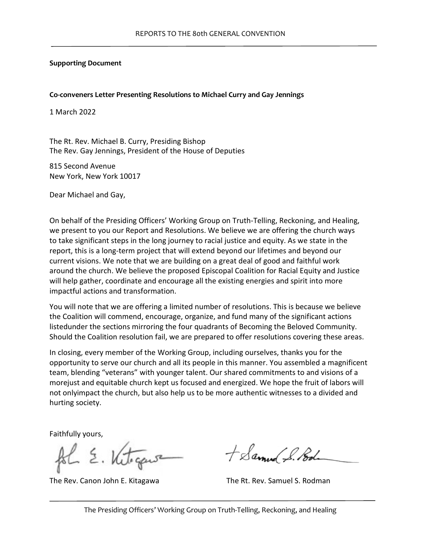#### **Supporting Document**

#### **Co-conveners Letter Presenting Resolutions to Michael Curry and Gay Jennings**

1 March 2022

The Rt. Rev. Michael B. Curry, Presiding Bishop The Rev. Gay Jennings, President of the House of Deputies

815 Second Avenue New York, New York 10017

Dear Michael and Gay,

On behalf of the Presiding Officers' Working Group on Truth-Telling, Reckoning, and Healing, we present to you our Report and Resolutions. We believe we are offering the church ways to take significant steps in the long journey to racial justice and equity. As we state in the report, this is a long-term project that will extend beyond our lifetimes and beyond our current visions. We note that we are building on a great deal of good and faithful work around the church. We believe the proposed Episcopal Coalition for Racial Equity and Justice will help gather, coordinate and encourage all the existing energies and spirit into more impactful actions and transformation.

You will note that we are offering a limited number of resolutions. This is because we believe the Coalition will commend, encourage, organize, and fund many of the significant actions listedunder the sections mirroring the four quadrants of Becoming the Beloved Community. Should the Coalition resolution fail, we are prepared to offer resolutions covering these areas.

In closing, every member of the Working Group, including ourselves, thanks you for the opportunity to serve our church and all its people in this manner. You assembled a magnificent team, blending "veterans" with younger talent. Our shared commitments to and visions of a morejust and equitable church kept us focused and energized. We hope the fruit of labors will not onlyimpact the church, but also help us to be more authentic witnesses to a divided and hurting society.

Faithfully yours,

The Rev. Canon John E. Kitagawa The Rt. Rev. Samuel S. Rodman

+ Samuel S. Pod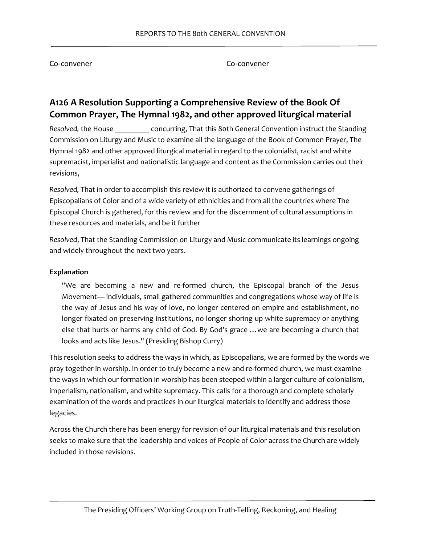Co-convener Co-convener

# **A126 A Resolution Supporting a Comprehensive Review of the Book Of Common Prayer, The Hymnal 1982, and other approved liturgical material**

*Resolved,* the House \_\_\_\_\_\_\_\_\_ concurring, That this 80th General Convention instruct the Standing Commission on Liturgy and Music to examine all the language of the Book of Common Prayer, The Hymnal 1982 and other approved liturgical material in regard to the colonialist, racist and white supremacist, imperialist and nationalistic language and content as the Commission carries out their revisions,

*Resolved,* That in order to accomplish this review it is authorized to convene gatherings of Episcopalians of Color and of a wide variety of ethnicities and from all the countries where The Episcopal Church is gathered, for this review and for the discernment of cultural assumptions in these resources and materials, and be it further

*Resolved*, That the Standing Commission on Liturgy and Music communicate its learnings ongoing and widely throughout the next two years.

#### **Explanation**

"We are becoming a new and re-formed church, the Episcopal branch of the Jesus Movement— individuals, small gathered communities and congregations whose way of life is the way of Jesus and his way of love, no longer centered on empire and establishment, no longer fixated on preserving institutions, no longer shoring up white supremacy or anything else that hurts or harms any child of God. By God's grace …we are becoming a church that looks and acts like Jesus." (Presiding Bishop Curry)

This resolution seeks to address the ways in which, as Episcopalians, we are formed by the words we pray together in worship. In order to truly become a new and re-formed church, we must examine the ways in which our formation in worship has been steeped within a larger culture of colonialism, imperialism, nationalism, and white supremacy. This calls for a thorough and complete scholarly examination of the words and practices in our liturgical materials to identify and address those legacies.

Across the Church there has been energy for revision of our liturgical materials and this resolution seeks to make sure that the leadership and voices of People of Color across the Church are widely included in those revisions.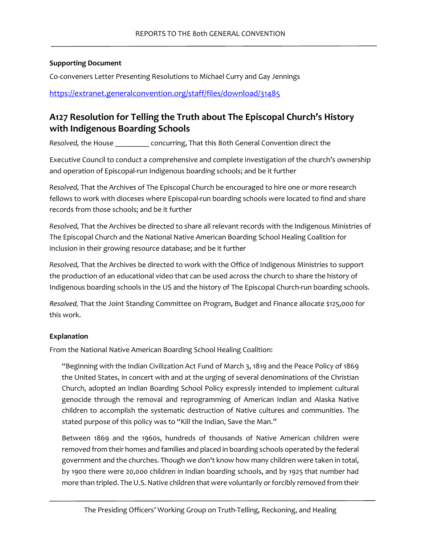#### **Supporting Document**

Co-conveners Letter Presenting Resolutions to Michael Curry and Gay Jennings

<https://extranet.generalconvention.org/staff/files/download/31485>

# **A127 Resolution for Telling the Truth about The Episcopal Church's History with Indigenous Boarding Schools**

*Resolved,* the House \_\_\_\_\_\_\_\_\_ concurring, That this 80th General Convention direct the

Executive Council to conduct a comprehensive and complete investigation of the church's ownership and operation of Episcopal-run Indigenous boarding schools; and be it further

*Resolved,* That the Archives of The Episcopal Church be encouraged to hire one or more research fellows to work with dioceses where Episcopal-run boarding schools were located to find and share records from those schools; and be it further

*Resolved,* That the Archives be directed to share all relevant records with the Indigenous Ministries of The Episcopal Church and the National Native American Boarding School Healing Coalition for inclusion in their growing resource database; and be it further

*Resolved,* That the Archives be directed to work with the Office of Indigenous Ministries to support the production of an educational video that can be used across the church to share the history of Indigenous boarding schools in the US and the history of The Episcopal Church-run boarding schools.

*Resolved,* That the Joint Standing Committee on Program, Budget and Finance allocate \$125,000 for this work.

### **Explanation**

From the National Native American Boarding School Healing Coalition:

"Beginning with the Indian Civilization Act Fund of March 3, 1819 and the Peace Policy of 1869 the United States, in concert with and at the urging of several denominations of the Christian Church, adopted an Indian Boarding School Policy expressly intended to implement cultural genocide through the removal and reprogramming of American Indian and Alaska Native children to accomplish the systematic destruction of Native cultures and communities. The stated purpose of this policy was to "Kill the Indian, Save the Man."

Between 1869 and the 1960s, hundreds of thousands of Native American children were removed from their homes and families and placed in boarding schools operated by the federal government and the churches. Though we don't know how many children were taken in total, by 1900 there were 20,000 children in Indian boarding schools, and by 1925 that number had more than tripled. The U.S. Native children that were voluntarily or forcibly removed from their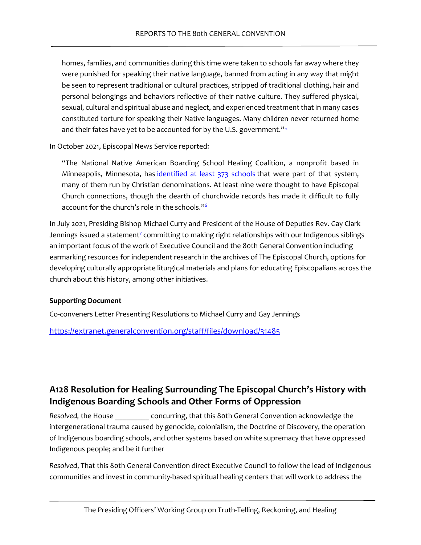homes, families, and communities during this time were taken to schools far away where they were punished for speaking their native language, banned from acting in any way that might be seen to represent traditional or cultural practices, stripped of traditional clothing, hair and personal belongings and behaviors reflective of their native culture. They suffered physical, sexual, cultural and spiritual abuse and neglect, and experienced treatment that in many cases constituted torture for speaking their Native languages. Many children never returned home and their fates have yet to be accounted for by the U.S. government."<sup>5</sup>

In October 2021, Episcopal News Service reported:

<span id="page-33-1"></span><span id="page-33-0"></span>"The National Native American Boarding School Healing Coalition, a nonprofit based in Minneapolis, Minnesota, has [identified at least 373 schools](https://boardingschoolhealing.org/list/) that were part of that system, many of them run by Christian denominations. At least nine were thought to have Episcopal Church connections, though the dearth of churchwide records has made it difficult to fully account for the church's role in the schools.["6](#page-25-6)

<span id="page-33-2"></span>In July 2021, Presiding Bishop Michael Curry and President of the House of Deputies Rev. Gay Clark Jennings issued a statement<sup>7</sup> committing to making right relationships with our Indigenous siblings an important focus of the work of Executive Council and the 80th General Convention including earmarking resources for independent research in the archives of The Episcopal Church, options for developing culturally appropriate liturgical materials and plans for educating Episcopalians across the church about this history, among other initiatives.

#### **Supporting Document**

Co-conveners Letter Presenting Resolutions to Michael Curry and Gay Jennings

<https://extranet.generalconvention.org/staff/files/download/31485>

# **A128 Resolution for Healing Surrounding The Episcopal Church's History with Indigenous Boarding Schools and Other Forms of Oppression**

*Resolved,* the House \_\_\_\_\_\_\_\_\_ concurring, that this 80th General Convention acknowledge the intergenerational trauma caused by genocide, colonialism, the Doctrine of Discovery, the operation of Indigenous boarding schools, and other systems based on white supremacy that have oppressed Indigenous people; and be it further

*Resolved*, That this 80th General Convention direct Executive Council to follow the lead of Indigenous communities and invest in community-based spiritual healing centers that will work to address the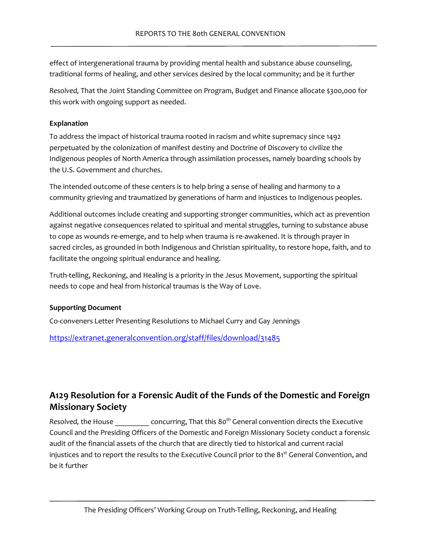effect of intergenerational trauma by providing mental health and substance abuse counseling, traditional forms of healing, and other services desired by the local community; and be it further

*Resolved,* That the Joint Standing Committee on Program, Budget and Finance allocate \$300,000 for this work with ongoing support as needed.

#### **Explanation**

To address the impact of historical trauma rooted in racism and white supremacy since 1492 perpetuated by the colonization of manifest destiny and Doctrine of Discovery to civilize the Indigenous peoples of North America through assimilation processes, namely boarding schools by the U.S. Government and churches.

The intended outcome of these centers is to help bring a sense of healing and harmony to a community grieving and traumatized by generations of harm and injustices to Indigenous peoples.

Additional outcomes include creating and supporting stronger communities, which act as prevention against negative consequences related to spiritual and mental struggles, turning to substance abuse to cope as wounds re-emerge, and to help when trauma is re-awakened. It is through prayer in sacred circles, as grounded in both Indigenous and Christian spirituality, to restore hope, faith, and to facilitate the ongoing spiritual endurance and healing.

Truth-telling, Reckoning, and Healing is a priority in the Jesus Movement, supporting the spiritual needs to cope and heal from historical traumas is the Way of Love.

### **Supporting Document**

Co-conveners Letter Presenting Resolutions to Michael Curry and Gay Jennings

<https://extranet.generalconvention.org/staff/files/download/31485>

# **A129 Resolution for a Forensic Audit of the Funds of the Domestic and Foreign Missionary Society**

Resolved, the House concurring, That this 80<sup>th</sup> General convention directs the Executive Council and the Presiding Officers of the Domestic and Foreign Missionary Society conduct a forensic audit of the financial assets of the church that are directly tied to historical and current racial injustices and to report the results to the Executive Council prior to the 81<sup>st</sup> General Convention, and be it further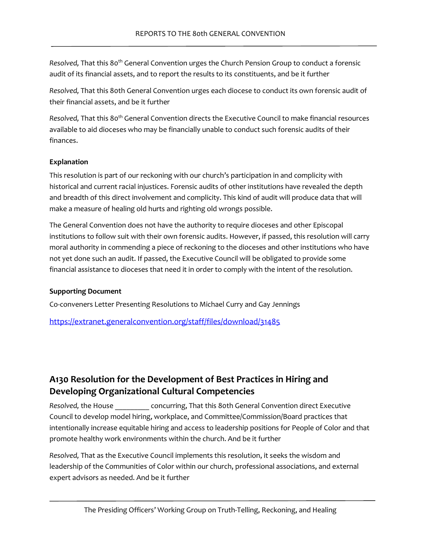Resolved, That this 80<sup>th</sup> General Convention urges the Church Pension Group to conduct a forensic audit of its financial assets, and to report the results to its constituents, and be it further

*Resolved,* That this 80th General Convention urges each diocese to conduct its own forensic audit of their financial assets, and be it further

*Resolved,* That this 80th General Convention directs the Executive Council to make financial resources available to aid dioceses who may be financially unable to conduct such forensic audits of their finances.

#### **Explanation**

This resolution is part of our reckoning with our church's participation in and complicity with historical and current racial injustices. Forensic audits of other institutions have revealed the depth and breadth of this direct involvement and complicity. This kind of audit will produce data that will make a measure of healing old hurts and righting old wrongs possible.

The General Convention does not have the authority to require dioceses and other Episcopal institutions to follow suit with their own forensic audits. However, if passed, this resolution will carry moral authority in commending a piece of reckoning to the dioceses and other institutions who have not yet done such an audit. If passed, the Executive Council will be obligated to provide some financial assistance to dioceses that need it in order to comply with the intent of the resolution.

### **Supporting Document**

Co-conveners Letter Presenting Resolutions to Michael Curry and Gay Jennings

<https://extranet.generalconvention.org/staff/files/download/31485>

# **A130 Resolution for the Development of Best Practices in Hiring and Developing Organizational Cultural Competencies**

*Resolved,* the House \_\_\_\_\_\_\_\_\_ concurring, That this 80th General Convention direct Executive Council to develop model hiring, workplace, and Committee/Commission/Board practices that intentionally increase equitable hiring and access to leadership positions for People of Color and that promote healthy work environments within the church. And be it further

*Resolved,* That as the Executive Council implements this resolution, it seeks the wisdom and leadership of the Communities of Color within our church, professional associations, and external expert advisors as needed. And be it further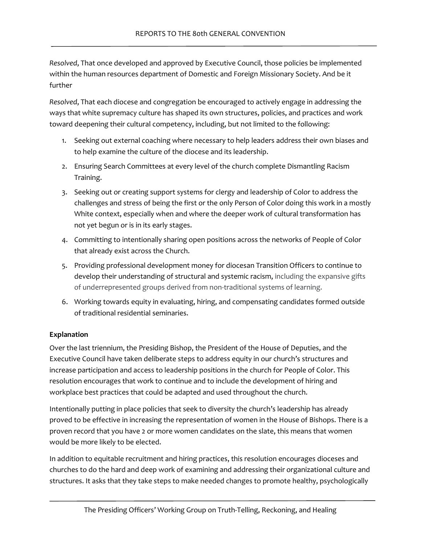*Resolved*, That once developed and approved by Executive Council, those policies be implemented within the human resources department of Domestic and Foreign Missionary Society. And be it further

*Resolved*, That each diocese and congregation be encouraged to actively engage in addressing the ways that white supremacy culture has shaped its own structures, policies, and practices and work toward deepening their cultural competency, including, but not limited to the following:

- 1. Seeking out external coaching where necessary to help leaders address their own biases and to help examine the culture of the diocese and its leadership.
- 2. Ensuring Search Committees at every level of the church complete Dismantling Racism Training.
- 3. Seeking out or creating support systems for clergy and leadership of Color to address the challenges and stress of being the first or the only Person of Color doing this work in a mostly White context, especially when and where the deeper work of cultural transformation has not yet begun or is in its early stages.
- 4. Committing to intentionally sharing open positions across the networks of People of Color that already exist across the Church.
- 5. Providing professional development money for diocesan Transition Officers to continue to develop their understanding of structural and systemic racism, including the expansive gifts of underrepresented groups derived from non-traditional systems of learning.
- 6. Working towards equity in evaluating, hiring, and compensating candidates formed outside of traditional residential seminaries.

### **Explanation**

Over the last triennium, the Presiding Bishop, the President of the House of Deputies, and the Executive Council have taken deliberate steps to address equity in our church's structures and increase participation and access to leadership positions in the church for People of Color. This resolution encourages that work to continue and to include the development of hiring and workplace best practices that could be adapted and used throughout the church.

Intentionally putting in place policies that seek to diversity the church's leadership has already proved to be effective in increasing the representation of women in the House of Bishops. There is a proven record that you have 2 or more women candidates on the slate, this means that women would be more likely to be elected.

In addition to equitable recruitment and hiring practices, this resolution encourages dioceses and churches to do the hard and deep work of examining and addressing their organizational culture and structures. It asks that they take steps to make needed changes to promote healthy, psychologically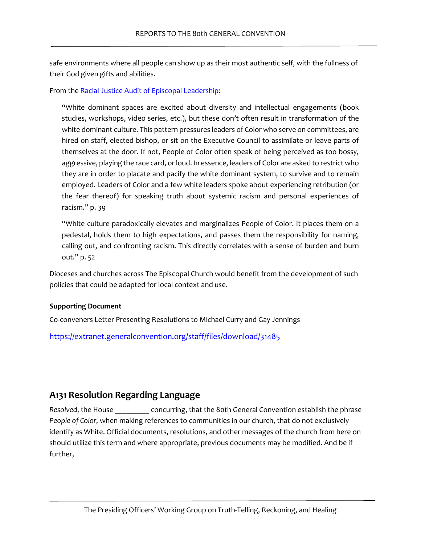safe environments where all people can show up as their most authentic self, with the fullness of their God given gifts and abilities.

From the [Racial Justice Audit of Episcopal Leadership:](https://www.episcopalchurch.org/wp-content/uploads/sites/2/2021/04/RR-Racial-Justice-Audit-Report_ENG.pdf)

"White dominant spaces are excited about diversity and intellectual engagements (book studies, workshops, video series, etc.), but these don't often result in transformation of the white dominant culture. This pattern pressures leaders of Color who serve on committees, are hired on staff, elected bishop, or sit on the Executive Council to assimilate or leave parts of themselves at the door. If not, People of Color often speak of being perceived as too bossy, aggressive, playing the race card, or loud. In essence, leaders of Color are asked to restrict who they are in order to placate and pacify the white dominant system, to survive and to remain employed. Leaders of Color and a few white leaders spoke about experiencing retribution (or the fear thereof) for speaking truth about systemic racism and personal experiences of racism." p. 39

"White culture paradoxically elevates and marginalizes People of Color. It places them on a pedestal, holds them to high expectations, and passes them the responsibility for naming, calling out, and confronting racism. This directly correlates with a sense of burden and burn out." p. 52

Dioceses and churches across The Episcopal Church would benefit from the development of such policies that could be adapted for local context and use.

#### **Supporting Document**

Co-conveners Letter Presenting Resolutions to Michael Curry and Gay Jennings

<https://extranet.generalconvention.org/staff/files/download/31485>

### **A131 Resolution Regarding Language**

*Resolved*, the House \_\_\_\_\_\_\_\_\_ concurring, that the 80th General Convention establish the phrase *People of Color,* when making references to communities in our church, that do not exclusively identify as White. Official documents, resolutions, and other messages of the church from here on should utilize this term and where appropriate, previous documents may be modified. And be if further,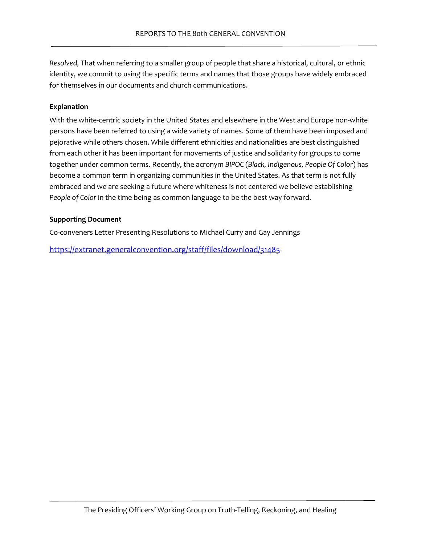*Resolved,* That when referring to a smaller group of people that share a historical, cultural, or ethnic identity, we commit to using the specific terms and names that those groups have widely embraced for themselves in our documents and church communications.

#### **Explanation**

With the white-centric society in the United States and elsewhere in the West and Europe non-white persons have been referred to using a wide variety of names. Some of them have been imposed and pejorative while others chosen. While different ethnicities and nationalities are best distinguished from each other it has been important for movements of justice and solidarity for groups to come together under common terms. Recently, the acronym *BIPOC* (*Black, Indigenous, People Of Color*) has become a common term in organizing communities in the United States. As that term is not fully embraced and we are seeking a future where whiteness is not centered we believe establishing *People of Color* in the time being as common language to be the best way forward.

#### **Supporting Document**

Co-conveners Letter Presenting Resolutions to Michael Curry and Gay Jennings

<https://extranet.generalconvention.org/staff/files/download/31485>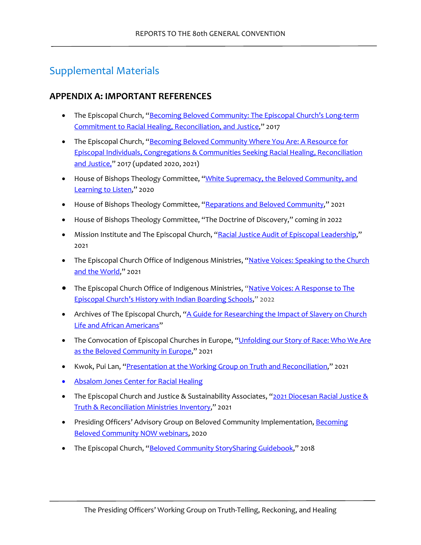# Supplemental Materials

### <span id="page-39-0"></span>**APPENDIX A: IMPORTANT REFERENCES**

- The Episcopal Church, "Becoming Beloved Community: The Episcopal Church's Long-term [Commitment to Racial Healing, Reconciliation, and Justice,](https://www.episcopalchurch.org/wp-content/uploads/sites/2/2020/11/bbc_eng_vision.pdf)" 2017
- The Episcopal Church, "Becoming Beloved Community Where You Are: A Resource for [Episcopal Individuals, Congregations & Communities Seeking Racial Healing, Reconciliation](https://www.episcopalchurch.org/wp-content/uploads/sites/2/2021/04/RR-BBCWYA-Full.pdf)  [and Justice,](https://www.episcopalchurch.org/wp-content/uploads/sites/2/2021/04/RR-BBCWYA-Full.pdf)" 2017 (updated 2020, 2021)
- House of Bishops Theology Committee, "White Supremacy, the Beloved Community, and [Learning to Listen,](https://www.episcopalchurch.org/wp-content/uploads/sites/2/2020/11/bbc_hob_theo_cmte_report_on_white_supremacy.pdf)" 2020
- House of Bishops Theology Committee, ["Reparations and Beloved Community,](https://www.episcopalchurch.org/wp-content/uploads/sites/2/2020/11/bbc_hob_theo_cmte_report_on_white_supremacy.pdf)" 2021
- House of Bishops Theology Committee, "The Doctrine of Discovery," coming in 2022
- Mission Institute and The Episcopal Church, ["Racial Justice Audit of Episcopal Leadership,](https://www.episcopalchurch.org/ministries/racial-reconciliation/racial-justice-audit/)" 2021
- The Episcopal Church Office of Indigenous Ministries, "Native Voices: Speaking to the Church [and the World,](https://youtu.be/HEvcyMvlv0I)" 2021
- The Episcopal Church Office of Indigenous Ministries, ["Native Voices: A Response to The](https://www.episcopalchurch.org/ministries/indigenous-ministries/)  [Episcopal Church's History with Indian Boarding Schools,](https://www.episcopalchurch.org/ministries/indigenous-ministries/)" 2022
- Archives of The Episcopal Church, "A Guide for Researching the Impact of Slavery on Church [Life and African Americans"](https://www.episcopalarchives.org/church-awakens/files/original/2253337c254b62e28a5d3b44307faa75.pdf)
- The Convocation of Episcopal Churches in Europe, "Unfolding our Story of Race: Who We Are [as the Beloved Community in Europe,](https://youtu.be/VwwDwbu0E5w)" 2021
- Kwok, Pui Lan, ["Presentation at the Working Group on Truth and Reconciliation,](https://drive.google.com/file/d/1StSV56wTc89xlbd5RNxi3v63Ke_e8qn1/view?usp=sharing)" 2021
- [Absalom Jones Center for Racial Healing](https://www.centerforracialhealing.org/)
- The Episcopal Church and Justice & Sustainability Associates, " $2021$  Diocesan Racial Justice & [Truth & Reconciliation Ministries Inventory,](https://www.episcopalchurch.org/wp-content/uploads/sites/2/2021/12/RR-TEC-Diocese-Survey-Results-12_10_2021.pdf)" 2021
- Presiding Officers' Advisory Group on Beloved Community Implementation, Becoming [Beloved Community NOW webinars,](https://www.episcopalchurch.org/beloved-community/becoming-beloved-community-now/) 2020
- The Episcopal Church, ["Beloved Community StorySharing Guidebook,](https://www.episcopalchurch.org/wp-content/uploads/sites/2/2020/11/bbc_storysharing_guidebook.pdf)" 2018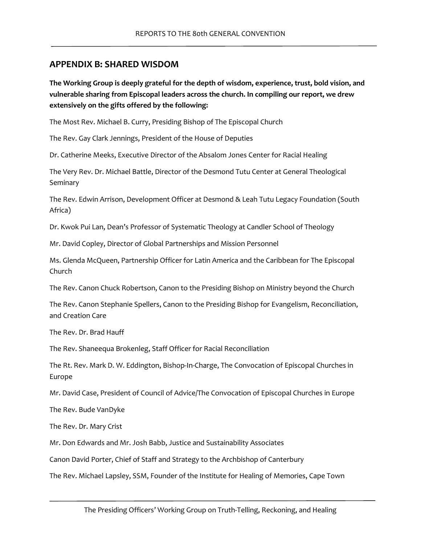### <span id="page-40-0"></span>**APPENDIX B: SHARED WISDOM**

**The Working Group is deeply grateful for the depth of wisdom, experience, trust, bold vision, and vulnerable sharing from Episcopal leaders across the church. In compiling our report, we drew extensively on the gifts offered by the following:**

The Most Rev. Michael B. Curry, Presiding Bishop of The Episcopal Church

The Rev. Gay Clark Jennings, President of the House of Deputies

Dr. Catherine Meeks, Executive Director of the Absalom Jones Center for Racial Healing

The Very Rev. Dr. Michael Battle, Director of the Desmond Tutu Center at General Theological Seminary

The Rev. Edwin Arrison, Development Officer at Desmond & Leah Tutu Legacy Foundation (South Africa)

Dr. Kwok Pui Lan, Dean's Professor of Systematic Theology at Candler School of Theology

Mr. David Copley, Director of Global Partnerships and Mission Personnel

Ms. Glenda McQueen, Partnership Officer for Latin America and the Caribbean for The Episcopal Church

The Rev. Canon Chuck Robertson, Canon to the Presiding Bishop on Ministry beyond the Church

The Rev. Canon Stephanie Spellers, Canon to the Presiding Bishop for Evangelism, Reconciliation, and Creation Care

The Rev. Dr. Brad Hauff

The Rev. Shaneequa Brokenleg, Staff Officer for Racial Reconciliation

The Rt. Rev. Mark D. W. Eddington, Bishop-In-Charge, The Convocation of Episcopal Churches in Europe

Mr. David Case, President of Council of Advice/The Convocation of Episcopal Churches in Europe

The Rev. Bude VanDyke

The Rev. Dr. Mary Crist

Mr. Don Edwards and Mr. Josh Babb, Justice and Sustainability Associates

Canon David Porter, Chief of Staff and Strategy to the Archbishop of Canterbury

The Rev. Michael Lapsley, SSM, Founder of the Institute for Healing of Memories, Cape Town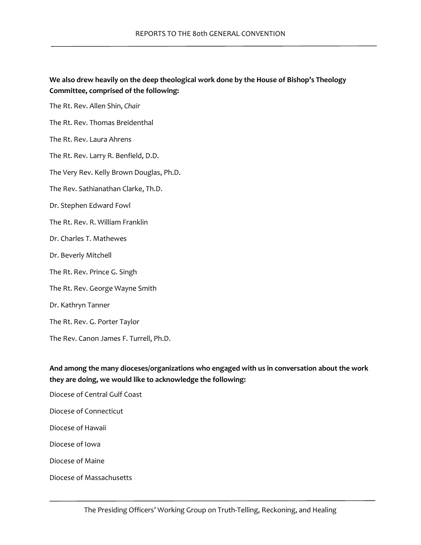### **We also drew heavily on the deep theological work done by the House of Bishop's Theology Committee, comprised of the following:**

The Rt. Rev. Allen Shin, *Chair*

The Rt. Rev. Thomas Breidenthal

The Rt. Rev. Laura Ahrens

The Rt. Rev. Larry R. Benfield, D.D.

The Very Rev. Kelly Brown Douglas, Ph.D.

The Rev. Sathianathan Clarke, Th.D.

Dr. Stephen Edward Fowl

- The Rt. Rev. R. William Franklin
- Dr. Charles T. Mathewes
- Dr. Beverly Mitchell
- The Rt. Rev. Prince G. Singh
- The Rt. Rev. George Wayne Smith
- Dr. Kathryn Tanner
- The Rt. Rev. G. Porter Taylor
- The Rev. Canon James F. Turrell, Ph.D.

### **And among the many dioceses/organizations who engaged with us in conversation about the work they are doing, we would like to acknowledge the following:**

- Diocese of Central Gulf Coast
- Diocese of Connecticut
- Diocese of Hawaii
- Diocese of Iowa
- Diocese of Maine
- Diocese of Massachusetts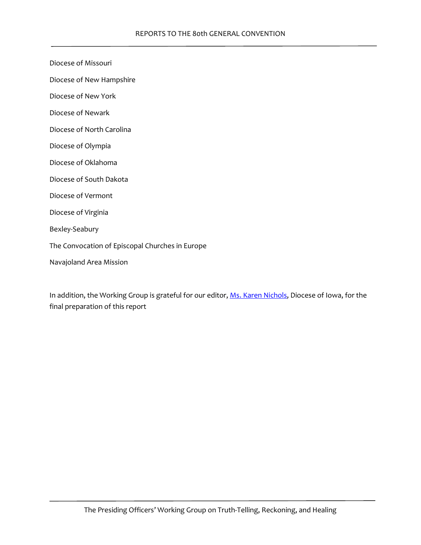Diocese of Missouri

Diocese of New Hampshire

Diocese of New York

Diocese of Newark

Diocese of North Carolina

Diocese of Olympia

Diocese of Oklahoma

Diocese of South Dakota

Diocese of Vermont

Diocese of Virginia

Bexley-Seabury

The Convocation of Episcopal Churches in Europe

Navajoland Area Mission

In addition, the Working Group is grateful for our editor[, Ms. Karen Nichols,](https://karennichols.me/) Diocese of Iowa, for the final preparation of this report